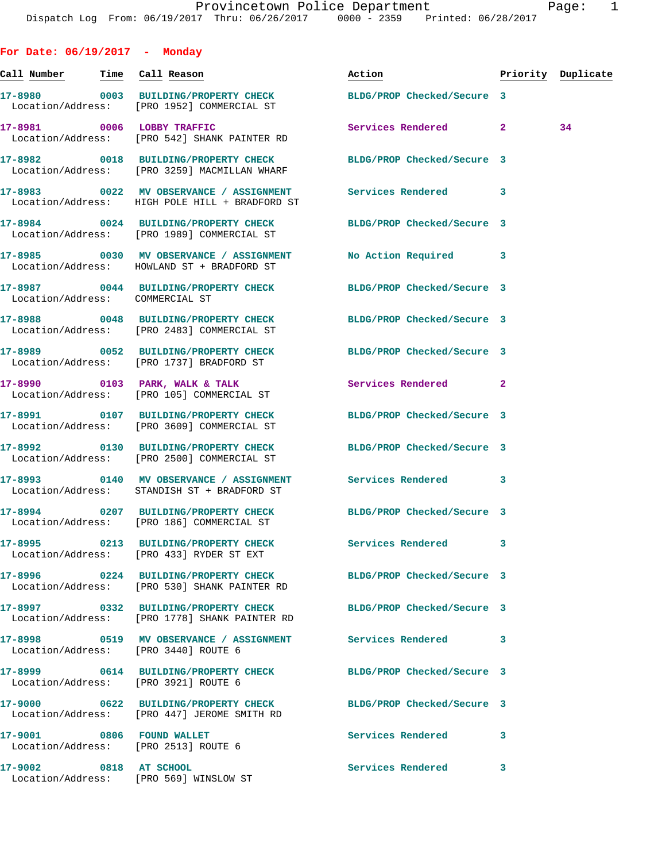| For Date: $06/19/2017$ - Monday                 |                                                                                                                 |                                  |   |    |
|-------------------------------------------------|-----------------------------------------------------------------------------------------------------------------|----------------------------------|---|----|
| <u>Call Number     Time</u> <u>C</u> all Reason |                                                                                                                 | Action <b>Priority Duplicate</b> |   |    |
|                                                 | 17-8980 0003 BUILDING/PROPERTY CHECK<br>Location/Address: [PRO 1952] COMMERCIAL ST                              | BLDG/PROP Checked/Secure 3       |   |    |
|                                                 | 17-8981 0006 LOBBY TRAFFIC<br>Location/Address: [PRO 542] SHANK PAINTER RD                                      | Services Rendered 2              |   | 34 |
|                                                 | 17-8982 0018 BUILDING/PROPERTY CHECK BLDG/PROP Checked/Secure 3<br>Location/Address: [PRO 3259] MACMILLAN WHARF |                                  |   |    |
|                                                 | 17-8983 0022 MV OBSERVANCE / ASSIGNMENT Services Rendered 3<br>Location/Address: HIGH POLE HILL + BRADFORD ST   |                                  |   |    |
|                                                 | 17-8984 0024 BUILDING/PROPERTY CHECK BLDG/PROP Checked/Secure 3<br>Location/Address: [PRO 1989] COMMERCIAL ST   |                                  |   |    |
|                                                 | 17-8985 0030 MV OBSERVANCE / ASSIGNMENT<br>Location/Address: HOWLAND ST + BRADFORD ST                           | No Action Required 3             |   |    |
| Location/Address: COMMERCIAL ST                 | 17-8987 0044 BUILDING/PROPERTY CHECK BLDG/PROP Checked/Secure 3                                                 |                                  |   |    |
|                                                 | 17-8988 0048 BUILDING/PROPERTY CHECK BLDG/PROP Checked/Secure 3<br>Location/Address: [PRO 2483] COMMERCIAL ST   |                                  |   |    |
|                                                 | 17-8989 0052 BUILDING/PROPERTY CHECK BLDG/PROP Checked/Secure 3<br>Location/Address: [PRO 1737] BRADFORD ST     |                                  |   |    |
|                                                 | 17-8990 0103 PARK, WALK & TALK<br>Location/Address: [PRO 105] COMMERCIAL ST                                     | Services Rendered 2              |   |    |
|                                                 | 17-8991 0107 BUILDING/PROPERTY CHECK BLDG/PROP Checked/Secure 3<br>Location/Address: [PRO 3609] COMMERCIAL ST   |                                  |   |    |
|                                                 | 17-8992 0130 BUILDING/PROPERTY CHECK<br>Location/Address: [PRO 2500] COMMERCIAL ST                              | BLDG/PROP Checked/Secure 3       |   |    |
|                                                 | 17-8993 0140 MV OBSERVANCE / ASSIGNMENT Services Rendered 3<br>Location/Address: STANDISH ST + BRADFORD ST      |                                  |   |    |
|                                                 | 17-8994 0207 BUILDING/PROPERTY CHECK BLDG/PROP Checked/Secure 3<br>Location/Address: [PRO 186] COMMERCIAL ST    |                                  |   |    |
|                                                 | 17-8995 0213 BUILDING/PROPERTY CHECK Services Rendered<br>Location/Address: [PRO 433] RYDER ST EXT              |                                  | 3 |    |
|                                                 | 17-8996 0224 BUILDING/PROPERTY CHECK BLDG/PROP Checked/Secure 3<br>Location/Address: [PRO 530] SHANK PAINTER RD |                                  |   |    |
|                                                 | 17-8997 0332 BUILDING/PROPERTY CHECK<br>Location/Address: [PRO 1778] SHANK PAINTER RD                           | BLDG/PROP Checked/Secure 3       |   |    |
|                                                 | 17-8998 0519 MV OBSERVANCE / ASSIGNMENT Services Rendered 3<br>Location/Address: [PRO 3440] ROUTE 6             |                                  |   |    |
|                                                 | 17-8999 0614 BUILDING/PROPERTY CHECK BLDG/PROP Checked/Secure 3<br>Location/Address: [PRO 3921] ROUTE 6         |                                  |   |    |
|                                                 | 17-9000 0622 BUILDING/PROPERTY CHECK<br>Location/Address: [PRO 447] JEROME SMITH RD                             | BLDG/PROP Checked/Secure 3       |   |    |
|                                                 | 17-9001 0806 FOUND WALLET<br>Location/Address: [PRO 2513] ROUTE 6                                               | Services Rendered                | 3 |    |
| 17-9002 0818 AT SCHOOL                          | Location/Address: [PRO 569] WINSLOW ST                                                                          | <b>Services Rendered</b>         | 3 |    |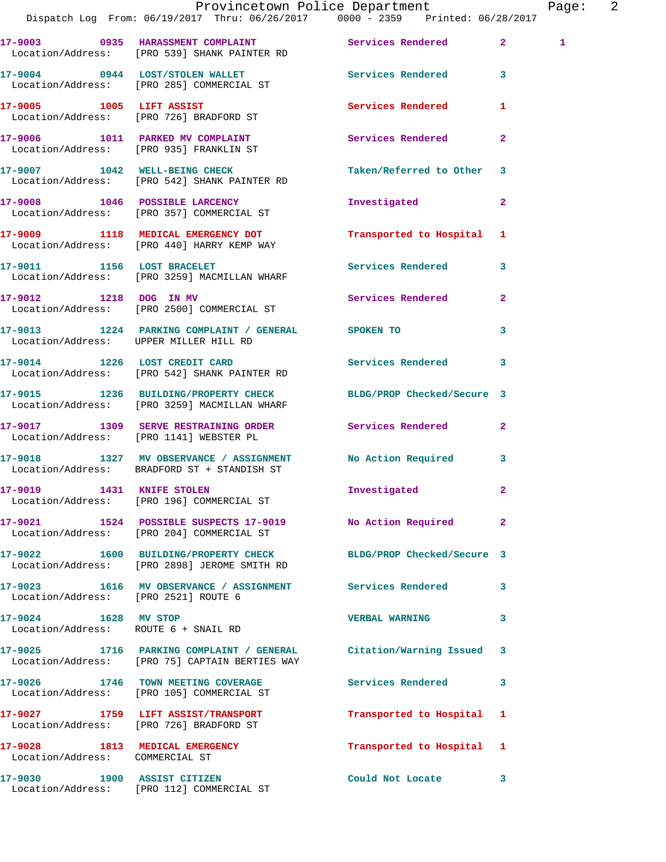|                                      | Dispatch Log From: 06/19/2017 Thru: 06/26/2017 0000 - 2359 Printed: 06/28/2017                                       | Provincetown Police Department | Page: 2      |  |
|--------------------------------------|----------------------------------------------------------------------------------------------------------------------|--------------------------------|--------------|--|
|                                      | 17-9003 6935 HARASSMENT COMPLAINT Services Rendered 2<br>Location/Address: [PRO 539] SHANK PAINTER RD                |                                | 1            |  |
|                                      | 17-9004 0944 LOST/STOLEN WALLET Services Rendered 3<br>Location/Address: [PRO 285] COMMERCIAL ST                     |                                |              |  |
|                                      | 17-9005 1005 LIFT ASSIST<br>Location/Address: [PRO 726] BRADFORD ST                                                  | Services Rendered 1            |              |  |
|                                      | 17-9006 1011 PARKED MV COMPLAINT<br>Location/Address: [PRO 935] FRANKLIN ST                                          | Services Rendered              | $\mathbf{2}$ |  |
|                                      | 17-9007 1042 WELL-BEING CHECK<br>Location/Address: [PRO 542] SHANK PAINTER RD                                        | Taken/Referred to Other 3      |              |  |
|                                      | 17-9008 1046 POSSIBLE LARCENCY<br>Location/Address: [PRO 357] COMMERCIAL ST                                          | Investigated                   | $\mathbf{2}$ |  |
|                                      | 17-9009 1118 MEDICAL EMERGENCY DOT<br>Location/Address: [PRO 440] HARRY KEMP WAY                                     | Transported to Hospital 1      |              |  |
|                                      | 17-9011 1156 LOST BRACELET<br>Location/Address: [PRO 3259] MACMILLAN WHARF                                           | Services Rendered 3            |              |  |
|                                      | 17-9012 1218 DOG IN MV<br>Location/Address: [PRO 2500] COMMERCIAL ST                                                 | Services Rendered 2            |              |  |
|                                      | 17-9013 1224 PARKING COMPLAINT / GENERAL SPOKEN TO<br>Location/Address: UPPER MILLER HILL RD                         |                                | 3            |  |
|                                      | 17-9014 1226 LOST CREDIT CARD<br>Location/Address: [PRO 542] SHANK PAINTER RD                                        | Services Rendered 3            |              |  |
|                                      | 17-9015 1236 BUILDING/PROPERTY CHECK BLDG/PROP Checked/Secure 3<br>Location/Address: [PRO 3259] MACMILLAN WHARF      |                                |              |  |
|                                      | 17-9017 1309 SERVE RESTRAINING ORDER Services Rendered 2<br>Location/Address: [PRO 1141] WEBSTER PL                  |                                |              |  |
|                                      | 17-9018 1327 MV OBSERVANCE / ASSIGNMENT No Action Required 3<br>Location/Address: BRADFORD ST + STANDISH ST          |                                |              |  |
|                                      | 17-9019 1431 KNIFE STOLEN<br>Location/Address: [PRO 196] COMMERCIAL ST                                               | Investigated                   |              |  |
|                                      | 17-9021 1524 POSSIBLE SUSPECTS 17-9019<br>Location/Address: [PRO 204] COMMERCIAL ST                                  | No Action Required 2           |              |  |
|                                      | 17-9022 1600 BUILDING/PROPERTY CHECK BLDG/PROP Checked/Secure 3<br>Location/Address: [PRO 2898] JEROME SMITH RD      |                                |              |  |
| Location/Address: [PRO 2521] ROUTE 6 | 17-9023 1616 MV OBSERVANCE / ASSIGNMENT Services Rendered 3                                                          |                                |              |  |
| 17-9024 1628 MV STOP                 | Location/Address: ROUTE 6 + SNAIL RD                                                                                 | VERBAL WARNING 3               |              |  |
|                                      | 17-9025 1716 PARKING COMPLAINT / GENERAL Citation/Warning Issued 3<br>Location/Address: [PRO 75] CAPTAIN BERTIES WAY |                                |              |  |
|                                      | 17-9026 1746 TOWN MEETING COVERAGE<br>Location/Address: [PRO 105] COMMERCIAL ST                                      | Services Rendered 3            |              |  |
|                                      | 17-9027 1759 LIFT ASSIST/TRANSPORT<br>Location/Address: [PRO 726] BRADFORD ST                                        | Transported to Hospital 1      |              |  |
| Location/Address: COMMERCIAL ST      | 17-9028 1813 MEDICAL EMERGENCY                                                                                       | Transported to Hospital 1      |              |  |
|                                      | 17-9030 1900 ASSIST CITIZEN<br>Location/Address: [PRO 112] COMMERCIAL ST                                             | Could Not Locate 3             |              |  |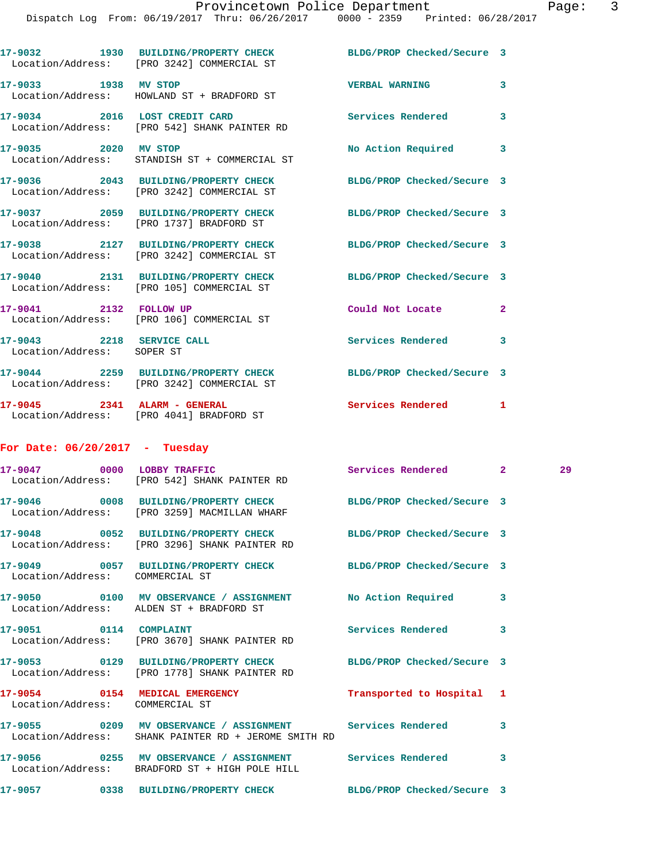|                                                         | 17-9032 1930 BUILDING/PROPERTY CHECK<br>Location/Address: [PRO 3242] COMMERCIAL ST                              | BLDG/PROP Checked/Secure 3 |                |    |
|---------------------------------------------------------|-----------------------------------------------------------------------------------------------------------------|----------------------------|----------------|----|
| 17-9033 1938 MV STOP                                    | Location/Address: HOWLAND ST + BRADFORD ST                                                                      | <b>VERBAL WARNING</b>      | 3              |    |
|                                                         | 17-9034 2016 LOST CREDIT CARD<br>Location/Address: [PRO 542] SHANK PAINTER RD                                   | Services Rendered          | 3              |    |
| 17-9035 2020 MV STOP                                    | Location/Address: STANDISH ST + COMMERCIAL ST                                                                   | No Action Required 3       |                |    |
|                                                         | 17-9036 2043 BUILDING/PROPERTY CHECK<br>Location/Address: [PRO 3242] COMMERCIAL ST                              | BLDG/PROP Checked/Secure 3 |                |    |
|                                                         | 17-9037 2059 BUILDING/PROPERTY CHECK<br>Location/Address: [PRO 1737] BRADFORD ST                                | BLDG/PROP Checked/Secure 3 |                |    |
|                                                         | 17-9038 2127 BUILDING/PROPERTY CHECK<br>Location/Address: [PRO 3242] COMMERCIAL ST                              | BLDG/PROP Checked/Secure 3 |                |    |
|                                                         | 17-9040 2131 BUILDING/PROPERTY CHECK<br>Location/Address: [PRO 105] COMMERCIAL ST                               | BLDG/PROP Checked/Secure 3 |                |    |
| 17-9041 2132 FOLLOW UP                                  | Location/Address: [PRO 106] COMMERCIAL ST                                                                       | Could Not Locate           | $\overline{2}$ |    |
| 17-9043 2218 SERVICE CALL<br>Location/Address: SOPER ST |                                                                                                                 | Services Rendered          | 3              |    |
|                                                         | 17-9044 2259 BUILDING/PROPERTY CHECK<br>Location/Address: [PRO 3242] COMMERCIAL ST                              | BLDG/PROP Checked/Secure 3 |                |    |
|                                                         | 17-9045 2341 ALARM - GENERAL<br>Location/Address: [PRO 4041] BRADFORD ST                                        | Services Rendered          | 1              |    |
| For Date: 06/20/2017 - Tuesday                          |                                                                                                                 |                            |                |    |
|                                                         | 17-9047 0000 LOBBY TRAFFIC<br>Location/Address: [PRO 542] SHANK PAINTER RD                                      | Services Rendered 2        |                | 29 |
|                                                         | 17-9046 0008 BUILDING/PROPERTY CHECK BLDG/PROP Checked/Secure 3<br>Location/Address: [PRO 3259] MACMILLAN WHARF |                            |                |    |
| 17-9048                                                 | 0052 BUILDING/PROPERTY CHECK<br>Location/Address: [PRO 3296] SHANK PAINTER RD                                   | BLDG/PROP Checked/Secure 3 |                |    |
| Location/Address: COMMERCIAL ST                         | 17-9049 0057 BUILDING/PROPERTY CHECK                                                                            | BLDG/PROP Checked/Secure 3 |                |    |
|                                                         | 17-9050 0100 MV OBSERVANCE / ASSIGNMENT<br>Location/Address: ALDEN ST + BRADFORD ST                             | No Action Required         | 3              |    |
| 17-9051 0114 COMPLAINT                                  | Location/Address: [PRO 3670] SHANK PAINTER RD                                                                   | Services Rendered          | 3              |    |
|                                                         | 17-9053 0129 BUILDING/PROPERTY CHECK<br>Location/Address: [PRO 1778] SHANK PAINTER RD                           | BLDG/PROP Checked/Secure 3 |                |    |
| 17-9054                                                 | 0154 MEDICAL EMERGENCY                                                                                          | Transported to Hospital 1  |                |    |

**17-9055 0209 MV OBSERVANCE / ASSIGNMENT Services Rendered 3**  Location/Address: SHANK PAINTER RD + JEROME SMITH RD

**17-9056 0255 MV OBSERVANCE / ASSIGNMENT Services Rendered 3**  Location/Address: BRADFORD ST + HIGH POLE HILL

**17-9057 0338 BUILDING/PROPERTY CHECK BLDG/PROP Checked/Secure 3** 

Location/Address: COMMERCIAL ST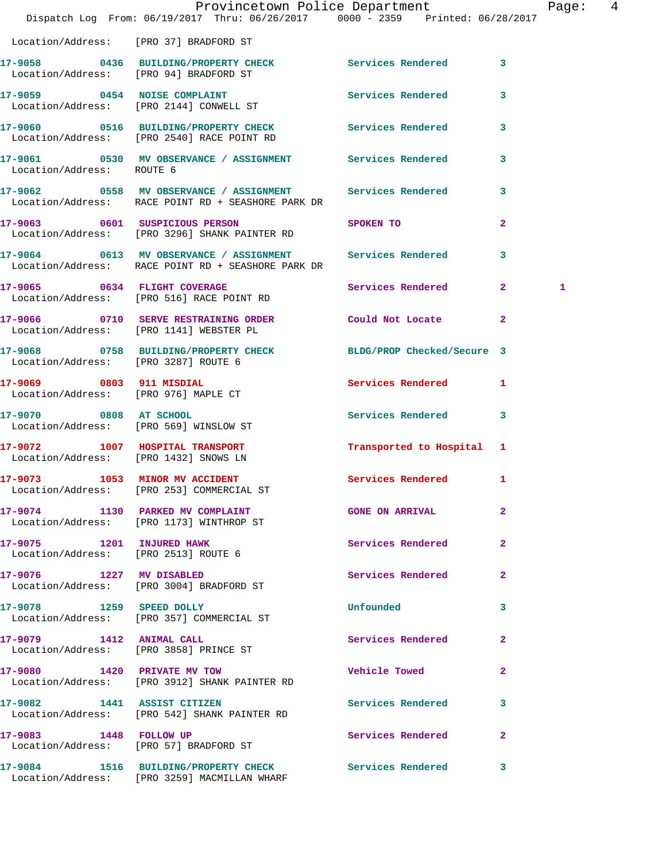|                                                                  | Dispatch Log From: 06/19/2017 Thru: 06/26/2017 0000 - 2359 Printed: 06/28/2017                                    | Provincetown Police Department |              | Page:  4 |  |
|------------------------------------------------------------------|-------------------------------------------------------------------------------------------------------------------|--------------------------------|--------------|----------|--|
| Location/Address: [PRO 37] BRADFORD ST                           |                                                                                                                   |                                |              |          |  |
|                                                                  | 17-9058 0436 BUILDING/PROPERTY CHECK Services Rendered 3<br>Location/Address: [PRO 94] BRADFORD ST                |                                |              |          |  |
|                                                                  | 17-9059 0454 NOISE COMPLAINT<br>Location/Address: [PRO 2144] CONWELL ST                                           | Services Rendered 3            |              |          |  |
|                                                                  | 17-9060 0516 BUILDING/PROPERTY CHECK Services Rendered 3<br>Location/Address: [PRO 2540] RACE POINT RD            |                                |              |          |  |
| Location/Address: ROUTE 6                                        | 17-9061 0530 MV OBSERVANCE / ASSIGNMENT Services Rendered 3                                                       |                                |              |          |  |
|                                                                  | 17-9062 0558 MV OBSERVANCE / ASSIGNMENT Services Rendered 3<br>Location/Address: RACE POINT RD + SEASHORE PARK DR |                                |              |          |  |
|                                                                  | 17-9063 0601 SUSPICIOUS PERSON<br>Location/Address: [PRO 3296] SHANK PAINTER RD                                   | SPOKEN TO                      | $\mathbf{2}$ |          |  |
|                                                                  | 17-9064 0613 MV OBSERVANCE / ASSIGNMENT Services Rendered<br>Location/Address: RACE POINT RD + SEASHORE PARK DR   |                                | $\mathbf{3}$ |          |  |
|                                                                  | 17-9065 0634 FLIGHT COVERAGE<br>Location/Address: [PRO 516] RACE POINT RD                                         | Services Rendered 2            |              | 1        |  |
|                                                                  | 17-9066 0710 SERVE RESTRAINING ORDER Could Not Locate 2<br>Location/Address: [PRO 1141] WEBSTER PL                |                                |              |          |  |
| Location/Address: [PRO 3287] ROUTE 6                             | 17-9068 0758 BUILDING/PROPERTY CHECK BLDG/PROP Checked/Secure 3                                                   |                                |              |          |  |
| Location/Address: [PRO 976] MAPLE CT                             | 17-9069 0803 911 MISDIAL                                                                                          | Services Rendered 1            |              |          |  |
| 17-9070 0808 AT SCHOOL<br>Location/Address: [PRO 569] WINSLOW ST |                                                                                                                   | Services Rendered 3            |              |          |  |
|                                                                  | 17-9072 1007 HOSPITAL TRANSPORT<br>Location/Address: [PRO 1432] SNOWS LN                                          | Transported to Hospital 1      |              |          |  |
| 17-9073                                                          | 1053 MINOR MV ACCIDENT<br>Location/Address: [PRO 253] COMMERCIAL ST                                               | Services Rendered 1            |              |          |  |
|                                                                  | 17-9074 1130 PARKED MV COMPLAINT GONE ON ARRIVAL<br>Location/Address: [PRO 1173] WINTHROP ST                      |                                | $\mathbf{2}$ |          |  |
| 17-9075 1201 INJURED HAWK                                        | Location/Address: [PRO 2513] ROUTE 6                                                                              | <b>Services Rendered</b>       | $\mathbf{2}$ |          |  |
|                                                                  | 17-9076 1227 MV DISABLED<br>Location/Address: [PRO 3004] BRADFORD ST                                              | Services Rendered              | $\mathbf{2}$ |          |  |
|                                                                  | 17-9078 1259 SPEED DOLLY<br>Location/Address: [PRO 357] COMMERCIAL ST                                             | Unfounded                      | 3            |          |  |
|                                                                  | 17-9079 1412 ANIMAL CALL<br>Location/Address: [PRO 3858] PRINCE ST                                                | Services Rendered 2            |              |          |  |
|                                                                  | 17-9080 1420 PRIVATE MV TOW<br>Location/Address: [PRO 3912] SHANK PAINTER RD                                      | Vehicle Towed <b>Seat 1996</b> | $\mathbf{2}$ |          |  |
|                                                                  | 17-9082 1441 ASSIST CITIZEN<br>Location/Address: [PRO 542] SHANK PAINTER RD                                       | <b>Services Rendered</b>       | 3            |          |  |
| 17-9083 1448 FOLLOW UP                                           | Location/Address: [PRO 57] BRADFORD ST                                                                            | Services Rendered              | $\mathbf{2}$ |          |  |
|                                                                  | 17-9084 1516 BUILDING/PROPERTY CHECK Services Rendered 3<br>Location/Address: [PRO 3259] MACMILLAN WHARF          |                                |              |          |  |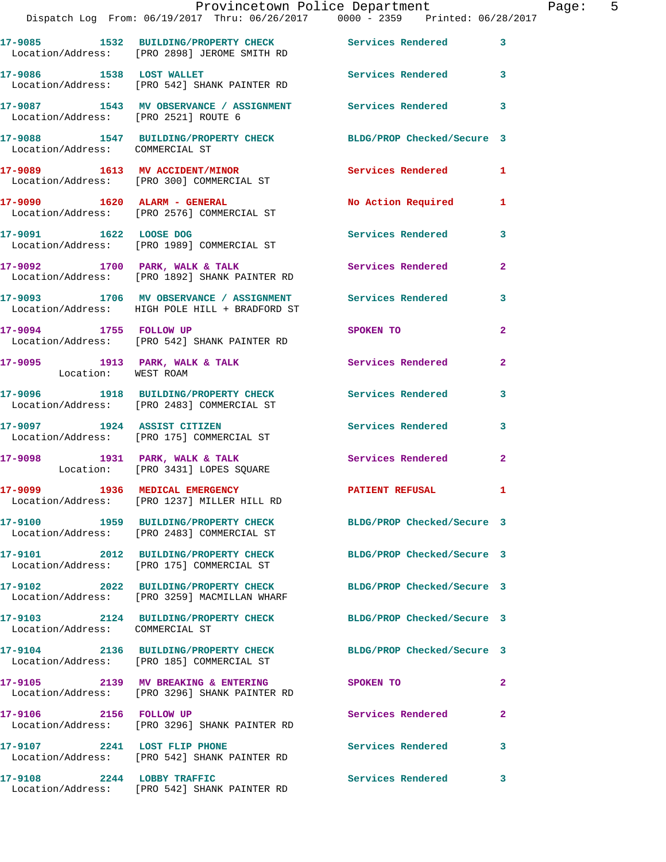|                                 | Provincetown Police Department The Page: 5<br>Dispatch Log From: 06/19/2017 Thru: 06/26/2017 0000 - 2359 Printed: 06/28/2017 |                            |                |  |
|---------------------------------|------------------------------------------------------------------------------------------------------------------------------|----------------------------|----------------|--|
|                                 | 17-9085 1532 BUILDING/PROPERTY CHECK Services Rendered 3<br>Location/Address: [PRO 2898] JEROME SMITH RD                     |                            |                |  |
|                                 | 17-9086 1538 LOST WALLET<br>Location/Address: [PRO 542] SHANK PAINTER RD                                                     | Services Rendered 3        |                |  |
|                                 | 17-9087 1543 MV OBSERVANCE / ASSIGNMENT Services Rendered 3<br>Location/Address: [PRO 2521] ROUTE 6                          |                            |                |  |
| Location/Address: COMMERCIAL ST | 17-9088 1547 BUILDING/PROPERTY CHECK BLDG/PROP Checked/Secure 3                                                              |                            |                |  |
|                                 | 17-9089 1613 MV ACCIDENT/MINOR<br>Location/Address: [PRO 300] COMMERCIAL ST                                                  | Services Rendered 1        |                |  |
|                                 | 17-9090 1620 ALARM - GENERAL No Action Required 1<br>Location/Address: [PRO 2576] COMMERCIAL ST                              |                            |                |  |
|                                 | 17-9091 1622 LOOSE DOG<br>Location/Address: [PRO 1989] COMMERCIAL ST                                                         | Services Rendered 3        |                |  |
|                                 | 17-9092 1700 PARK, WALK & TALK 1988 Services Rendered<br>Location/Address: [PRO 1892] SHANK PAINTER RD                       |                            | $\mathbf{2}$   |  |
|                                 | 17-9093 1706 MV OBSERVANCE / ASSIGNMENT Services Rendered 3<br>Location/Address: HIGH POLE HILL + BRADFORD ST                |                            |                |  |
|                                 | 17-9094 1755 FOLLOW UP<br>Location/Address: [PRO 542] SHANK PAINTER RD                                                       | SPOKEN TO                  | $\mathbf{2}$   |  |
| Location: WEST ROAM             | 17-9095 1913 PARK, WALK & TALK 1998 Services Rendered                                                                        |                            | $\overline{2}$ |  |
|                                 | 17-9096 1918 BUILDING/PROPERTY CHECK Services Rendered<br>Location/Address: [PRO 2483] COMMERCIAL ST                         |                            | 3              |  |
|                                 | 17-9097 1924 ASSIST CITIZEN<br>Location/Address: [PRO 175] COMMERCIAL ST                                                     | Services Rendered 3        |                |  |
|                                 |                                                                                                                              | Services Rendered 2        |                |  |
|                                 | 17-9099 1936 MEDICAL EMERGENCY<br>Location/Address: [PRO 1237] MILLER HILL RD                                                | <b>PATIENT REFUSAL</b>     |                |  |
|                                 | 17-9100 1959 BUILDING/PROPERTY CHECK BLDG/PROP Checked/Secure 3<br>Location/Address: [PRO 2483] COMMERCIAL ST                |                            |                |  |
|                                 | 17-9101 2012 BUILDING/PROPERTY CHECK<br>Location/Address: [PRO 175] COMMERCIAL ST                                            | BLDG/PROP Checked/Secure 3 |                |  |
|                                 | 17-9102 2022 BUILDING/PROPERTY CHECK BLDG/PROP Checked/Secure 3<br>Location/Address: [PRO 3259] MACMILLAN WHARF              |                            |                |  |
| Location/Address: COMMERCIAL ST | 17-9103 2124 BUILDING/PROPERTY CHECK BLDG/PROP Checked/Secure 3                                                              |                            |                |  |
|                                 | 17-9104 2136 BUILDING/PROPERTY CHECK<br>Location/Address: [PRO 185] COMMERCIAL ST                                            | BLDG/PROP Checked/Secure 3 |                |  |
|                                 | 17-9105 2139 MV BREAKING & ENTERING<br>Location/Address: [PRO 3296] SHANK PAINTER RD                                         | SPOKEN TO                  | $\mathbf{2}$   |  |
| 17-9106 2156 FOLLOW UP          | Location/Address: [PRO 3296] SHANK PAINTER RD                                                                                | Services Rendered          | 2              |  |
| 17-9107 2241 LOST FLIP PHONE    | Location/Address: [PRO 542] SHANK PAINTER RD                                                                                 | Services Rendered          | 3              |  |
| 17-9108 2244 LOBBY TRAFFIC      |                                                                                                                              | Services Rendered          | 3              |  |

Location/Address: [PRO 542] SHANK PAINTER RD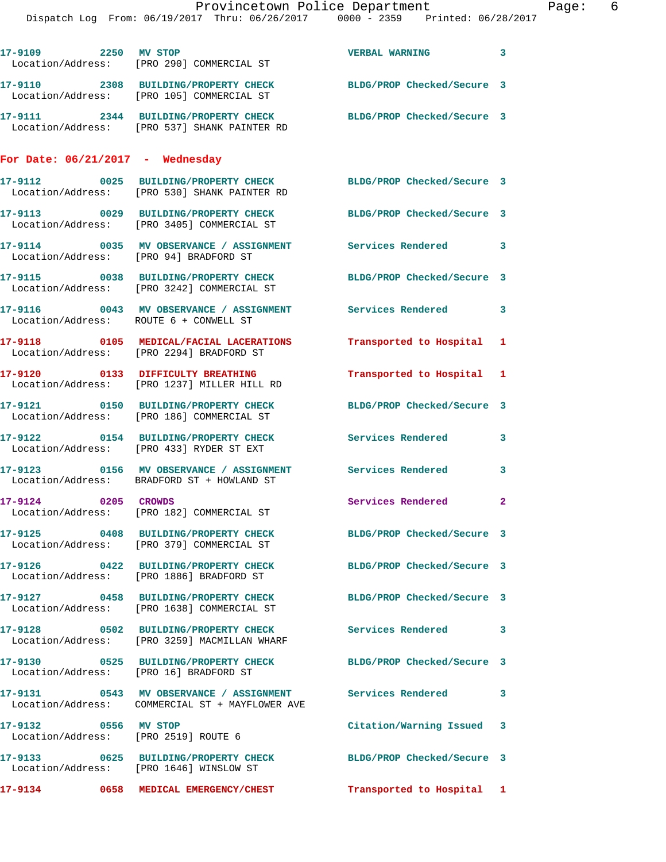|                                                              | 17-9109 2250 MV STOP<br>Location/Address: [PRO 290] COMMERCIAL ST                                            | <b>VERBAL WARNING</b>      | 3            |
|--------------------------------------------------------------|--------------------------------------------------------------------------------------------------------------|----------------------------|--------------|
|                                                              | 17-9110 2308 BUILDING/PROPERTY CHECK<br>Location/Address: [PRO 105] COMMERCIAL ST                            | BLDG/PROP Checked/Secure 3 |              |
|                                                              | 17-9111 2344 BUILDING/PROPERTY CHECK<br>Location/Address: [PRO 537] SHANK PAINTER RD                         | BLDG/PROP Checked/Secure 3 |              |
| For Date: $06/21/2017$ - Wednesday                           |                                                                                                              |                            |              |
|                                                              | 17-9112 0025 BUILDING/PROPERTY CHECK<br>Location/Address: [PRO 530] SHANK PAINTER RD                         | BLDG/PROP Checked/Secure 3 |              |
|                                                              | 17-9113 0029 BUILDING/PROPERTY CHECK<br>Location/Address: [PRO 3405] COMMERCIAL ST                           | BLDG/PROP Checked/Secure 3 |              |
| Location/Address: [PRO 94] BRADFORD ST                       | 17-9114 6035 MV OBSERVANCE / ASSIGNMENT Services Rendered                                                    |                            | 3            |
|                                                              | 17-9115 0038 BUILDING/PROPERTY CHECK<br>Location/Address: [PRO 3242] COMMERCIAL ST                           | BLDG/PROP Checked/Secure 3 |              |
| Location/Address: ROUTE 6 + CONWELL ST                       | 17-9116 0043 MV OBSERVANCE / ASSIGNMENT                                                                      | Services Rendered          | 3            |
|                                                              | 17-9118 0105 MEDICAL/FACIAL LACERATIONS<br>Location/Address: [PRO 2294] BRADFORD ST                          | Transported to Hospital    | 1            |
|                                                              | 17-9120 0133 DIFFICULTY BREATHING<br>Location/Address: [PRO 1237] MILLER HILL RD                             | Transported to Hospital    | 1            |
|                                                              | 17-9121 0150 BUILDING/PROPERTY CHECK<br>Location/Address: [PRO 186] COMMERCIAL ST                            | BLDG/PROP Checked/Secure 3 |              |
|                                                              | 17-9122 0154 BUILDING/PROPERTY CHECK<br>Location/Address: [PRO 433] RYDER ST EXT                             | Services Rendered          | 3            |
|                                                              | 17-9123 0156 MV OBSERVANCE / ASSIGNMENT<br>Location/Address: BRADFORD ST + HOWLAND ST                        | Services Rendered          | 3            |
| 0205 CROWDS<br>17-9124                                       | Location/Address: [PRO 182] COMMERCIAL ST                                                                    | Services Rendered          | $\mathbf{2}$ |
|                                                              | 17-9125 0408 BUILDING/PROPERTY CHECK BLDG/PROP Checked/Secure 3<br>Location/Address: [PRO 379] COMMERCIAL ST |                            |              |
|                                                              | 17-9126 0422 BUILDING/PROPERTY CHECK<br>Location/Address: [PRO 1886] BRADFORD ST                             | BLDG/PROP Checked/Secure 3 |              |
|                                                              | 17-9127 0458 BUILDING/PROPERTY CHECK<br>Location/Address: [PRO 1638] COMMERCIAL ST                           | BLDG/PROP Checked/Secure 3 |              |
|                                                              | 17-9128 0502 BUILDING/PROPERTY CHECK<br>Location/Address: [PRO 3259] MACMILLAN WHARF                         | Services Rendered          | 3            |
| Location/Address: [PRO 16] BRADFORD ST                       | 17-9130 0525 BUILDING/PROPERTY CHECK                                                                         | BLDG/PROP Checked/Secure 3 |              |
|                                                              | 17-9131 6543 MV OBSERVANCE / ASSIGNMENT Services Rendered<br>Location/Address: COMMERCIAL ST + MAYFLOWER AVE |                            | 3            |
| 17-9132 0556 MV STOP<br>Location/Address: [PRO 2519] ROUTE 6 |                                                                                                              | Citation/Warning Issued    | 3            |
| Location/Address: [PRO 1646] WINSLOW ST                      | 17-9133 0625 BUILDING/PROPERTY CHECK                                                                         | BLDG/PROP Checked/Secure 3 |              |
|                                                              |                                                                                                              | Transported to Hospital 1  |              |
|                                                              |                                                                                                              |                            |              |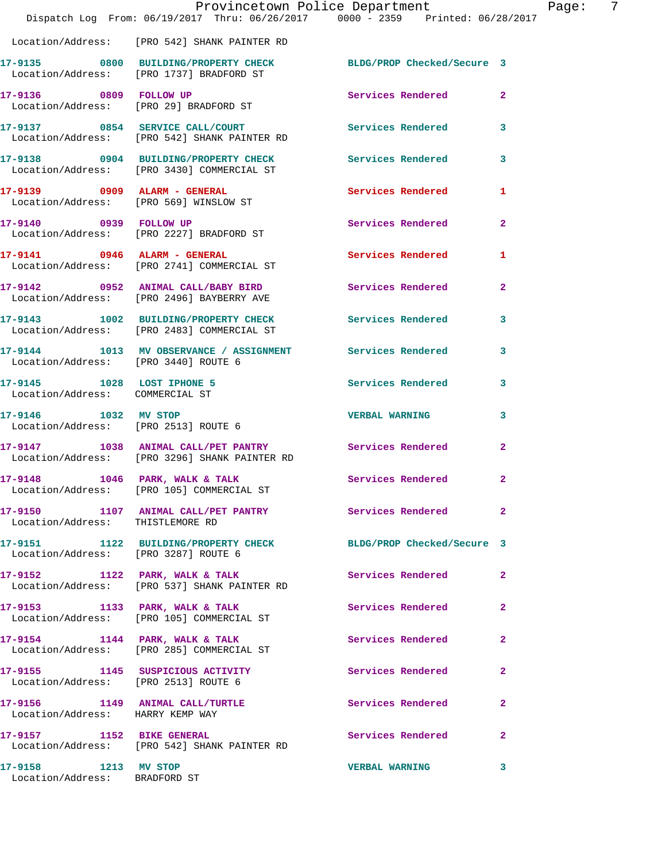|                                                               | Provincetown Police Department<br>Dispatch Log From: 06/19/2017 Thru: 06/26/2017 0000 - 2359 Printed: 06/28/2017 |                          | Page: 7                 |
|---------------------------------------------------------------|------------------------------------------------------------------------------------------------------------------|--------------------------|-------------------------|
|                                                               | Location/Address: [PRO 542] SHANK PAINTER RD                                                                     |                          |                         |
|                                                               | 17-9135 0800 BUILDING/PROPERTY CHECK BLDG/PROP Checked/Secure 3<br>Location/Address: [PRO 1737] BRADFORD ST      |                          |                         |
|                                                               | 17-9136 0809 FOLLOW UP<br>Location/Address: [PRO 29] BRADFORD ST                                                 | Services Rendered        | $\mathbf{2}$            |
|                                                               | 17-9137 0854 SERVICE CALL/COURT<br>Location/Address: [PRO 542] SHANK PAINTER RD                                  | <b>Services Rendered</b> | $\overline{\mathbf{3}}$ |
|                                                               | 17-9138 0904 BUILDING/PROPERTY CHECK Services Rendered<br>Location/Address: [PRO 3430] COMMERCIAL ST             |                          | $\mathbf{3}$            |
|                                                               | 17-9139 0909 ALARM - GENERAL<br>Location/Address: [PRO 569] WINSLOW ST                                           | Services Rendered        | -1                      |
|                                                               | 17-9140 0939 FOLLOW UP<br>Location/Address: [PRO 2227] BRADFORD ST                                               | Services Rendered        | $\overline{2}$          |
|                                                               | 17-9141 0946 ALARM - GENERAL<br>Location/Address: [PRO 2741] COMMERCIAL ST                                       | Services Rendered        | 1                       |
|                                                               | 17-9142 0952 ANIMAL CALL/BABY BIRD<br>Location/Address: [PRO 2496] BAYBERRY AVE                                  | Services Rendered        | $\mathbf{2}$            |
|                                                               | 17-9143 1002 BUILDING/PROPERTY CHECK Services Rendered 3<br>Location/Address: [PRO 2483] COMMERCIAL ST           |                          |                         |
| Location/Address: [PRO 3440] ROUTE 6                          | 17-9144 1013 MV OBSERVANCE / ASSIGNMENT Services Rendered                                                        |                          | $\overline{\mathbf{3}}$ |
| 17-9145 1028 LOST IPHONE 5<br>Location/Address: COMMERCIAL ST |                                                                                                                  | Services Rendered        | $\mathbf{3}$            |
| 17-9146 1032 MV STOP<br>Location/Address: [PRO 2513] ROUTE 6  |                                                                                                                  | <b>VERBAL WARNING</b>    | 3                       |
|                                                               | 17-9147 1038 ANIMAL CALL/PET PANTRY Services Rendered<br>Location/Address: [PRO 3296] SHANK PAINTER RD           |                          | $\overline{2}$          |
|                                                               | 17-9148 1046 PARK, WALK & TALK<br>Location/Address: [PRO 105] COMMERCIAL ST                                      | Services Rendered        | $\overline{2}$          |
| Location/Address: THISTLEMORE RD                              | 17-9150 1107 ANIMAL CALL/PET PANTRY Services Rendered                                                            |                          | $\mathbf{2}$            |
| Location/Address: [PRO 3287] ROUTE 6                          | 17-9151 1122 BUILDING/PROPERTY CHECK BLDG/PROP Checked/Secure 3                                                  |                          |                         |
|                                                               | 17-9152 1122 PARK, WALK & TALK 1988 Services Rendered<br>Location/Address: [PRO 537] SHANK PAINTER RD            |                          | $\overline{2}$          |
|                                                               | 17-9153 1133 PARK, WALK & TALK<br>Location/Address: [PRO 105] COMMERCIAL ST                                      | Services Rendered        | $\mathbf{2}$            |
|                                                               | 17-9154 1144 PARK, WALK & TALK<br>Location/Address: [PRO 285] COMMERCIAL ST                                      | Services Rendered        | $\mathbf{2}$            |
| Location/Address: [PRO 2513] ROUTE 6                          | 17-9155 1145 SUSPICIOUS ACTIVITY                                                                                 | Services Rendered        | $\mathbf{2}$            |
| Location/Address: HARRY KEMP WAY                              | 17-9156 1149 ANIMAL CALL/TURTLE Services Rendered                                                                |                          | $\mathbf{2}$            |
|                                                               | 17-9157 1152 BIKE GENERAL<br>Location/Address: [PRO 542] SHANK PAINTER RD                                        | Services Rendered        | $\mathbf{2}$            |
| 17-9158 1213 MV STOP<br>Location/Address: BRADFORD ST         |                                                                                                                  | <b>VERBAL WARNING</b>    | 3                       |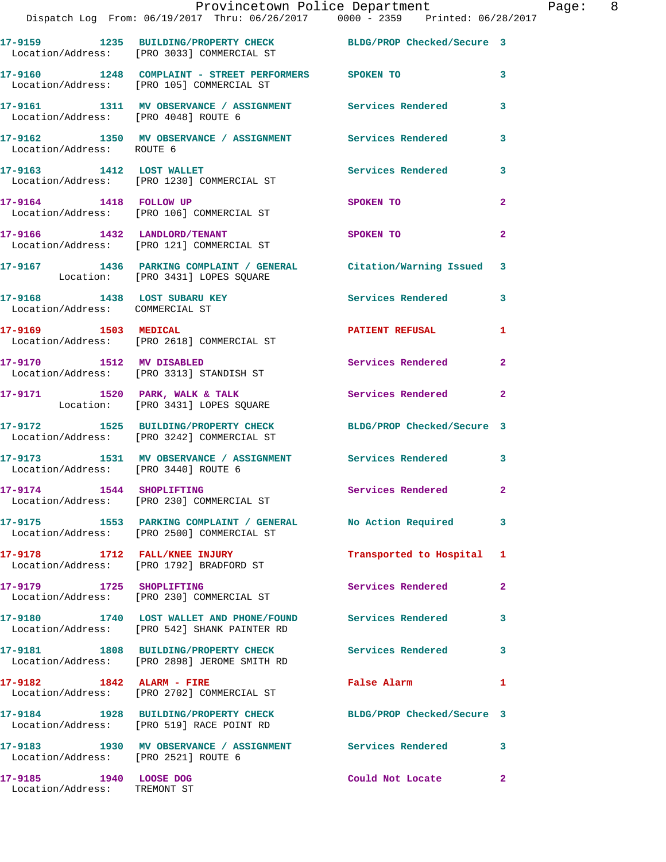|                                                                 | Provincetown Police Department<br>Dispatch Log From: 06/19/2017 Thru: 06/26/2017   0000 - 2359   Printed: 06/28/2017 |                           |                |
|-----------------------------------------------------------------|----------------------------------------------------------------------------------------------------------------------|---------------------------|----------------|
|                                                                 | 17-9159 1235 BUILDING/PROPERTY CHECK BLDG/PROP Checked/Secure 3<br>Location/Address: [PRO 3033] COMMERCIAL ST        |                           |                |
|                                                                 | 17-9160 1248 COMPLAINT - STREET PERFORMERS SPOKEN TO<br>Location/Address: [PRO 105] COMMERCIAL ST                    |                           | 3              |
| Location/Address: [PRO 4048] ROUTE 6                            | 17-9161 1311 MV OBSERVANCE / ASSIGNMENT Services Rendered                                                            |                           | 3              |
| Location/Address: ROUTE 6                                       | 17-9162 1350 MV OBSERVANCE / ASSIGNMENT Services Rendered                                                            |                           | 3              |
|                                                                 | 17-9163 1412 LOST WALLET<br>Location/Address: [PRO 1230] COMMERCIAL ST                                               | Services Rendered         | 3              |
|                                                                 | 17-9164 1418 FOLLOW UP<br>Location/Address: [PRO 106] COMMERCIAL ST                                                  | <b>SPOKEN TO</b>          | $\mathbf{2}$   |
|                                                                 | 17-9166 1432 LANDLORD/TENANT<br>Location/Address: [PRO 121] COMMERCIAL ST                                            | <b>SPOKEN TO</b>          | $\overline{2}$ |
|                                                                 | 17-9167 1436 PARKING COMPLAINT / GENERAL Citation/Warning Issued<br>Location: [PRO 3431] LOPES SQUARE                |                           | 3              |
| 17-9168 1438 LOST SUBARU KEY<br>Location/Address: COMMERCIAL ST |                                                                                                                      | Services Rendered         | 3              |
|                                                                 | 17-9169 1503 MEDICAL<br>Location/Address: [PRO 2618] COMMERCIAL ST                                                   | PATIENT REFUSAL           | 1              |
|                                                                 | 17-9170 1512 MV DISABLED<br>Location/Address: [PRO 3313] STANDISH ST                                                 | Services Rendered         | $\overline{2}$ |
|                                                                 | 17-9171 1520 PARK, WALK & TALK 1998 Services Rendered<br>Location: [PRO 3431] LOPES SQUARE                           |                           | $\mathbf{2}$   |
|                                                                 | 17-9172 1525 BUILDING/PROPERTY CHECK BLDG/PROP Checked/Secure 3<br>Location/Address: [PRO 3242] COMMERCIAL ST        |                           |                |
| Location/Address: [PRO 3440] ROUTE 6                            | 17-9173 1531 MV OBSERVANCE / ASSIGNMENT Services Rendered 3                                                          |                           |                |
| 17-9174 1544 SHOPLIFTING                                        | Location/Address: [PRO 230] COMMERCIAL ST                                                                            | <b>Services Rendered</b>  |                |
|                                                                 | 17-9175 1553 PARKING COMPLAINT / GENERAL No Action Required<br>Location/Address: [PRO 2500] COMMERCIAL ST            |                           | 3              |
|                                                                 | 17-9178 1712 FALL/KNEE INJURY<br>Location/Address: [PRO 1792] BRADFORD ST                                            | Transported to Hospital 1 |                |
| 17-9179 1725 SHOPLIFTING                                        | Location/Address: [PRO 230] COMMERCIAL ST                                                                            | Services Rendered         | $\mathbf{2}$   |
|                                                                 | 17-9180 1740 LOST WALLET AND PHONE/FOUND Services Rendered<br>Location/Address: [PRO 542] SHANK PAINTER RD           |                           | 3              |
|                                                                 | 17-9181 1808 BUILDING/PROPERTY CHECK<br>Location/Address: [PRO 2898] JEROME SMITH RD                                 | Services Rendered         | 3              |
| 17-9182 1842 ALARM - FIRE                                       | Location/Address: [PRO 2702] COMMERCIAL ST                                                                           | False Alarm               | 1              |
|                                                                 | 17-9184 1928 BUILDING/PROPERTY CHECK BLDG/PROP Checked/Secure 3<br>Location/Address: [PRO 519] RACE POINT RD         |                           |                |
| 17-9183<br>Location/Address: [PRO 2521] ROUTE 6                 | 1930 MV OBSERVANCE / ASSIGNMENT Services Rendered                                                                    |                           | 3              |
| 17-9185 1940 LOOSE DOG                                          |                                                                                                                      | Could Not Locate          | $\mathbf{2}$   |

Location/Address: TREMONT ST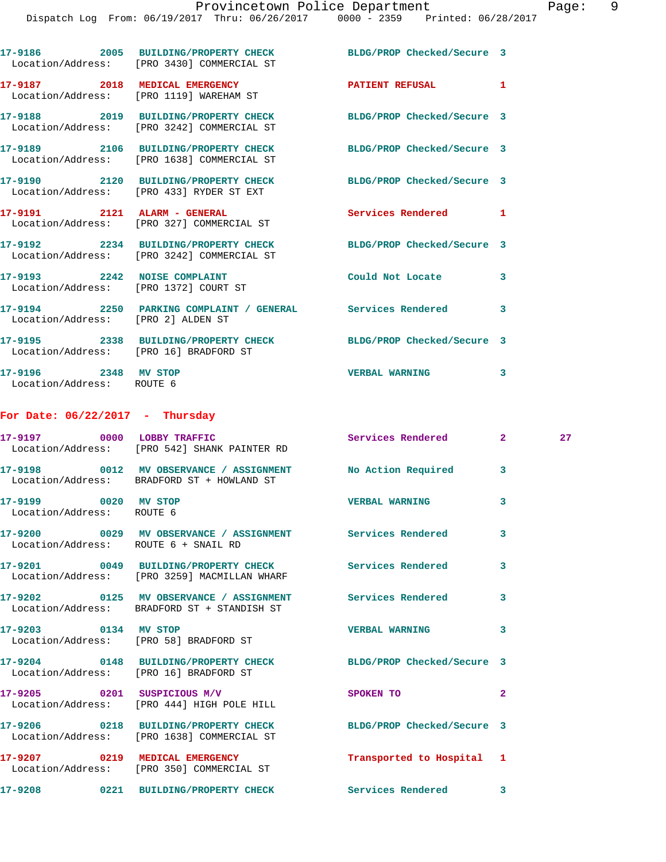|                                                                       | 17-9186 2005 BUILDING/PROPERTY CHECK BLDG/PROP Checked/Secure 3<br>Location/Address: [PRO 3430] COMMERCIAL ST |                            |              |
|-----------------------------------------------------------------------|---------------------------------------------------------------------------------------------------------------|----------------------------|--------------|
|                                                                       | 17-9187  2018  MEDICAL EMERGENCY<br>Location/Address: [PRO 1119] WAREHAM ST                                   | <b>PATIENT REFUSAL</b>     | $\mathbf{1}$ |
|                                                                       | 17-9188 2019 BUILDING/PROPERTY CHECK<br>Location/Address: [PRO 3242] COMMERCIAL ST                            | BLDG/PROP Checked/Secure 3 |              |
|                                                                       | 17-9189 2106 BUILDING/PROPERTY CHECK<br>Location/Address: [PRO 1638] COMMERCIAL ST                            | BLDG/PROP Checked/Secure 3 |              |
|                                                                       | 17-9190 2120 BUILDING/PROPERTY CHECK<br>Location/Address: [PRO 433] RYDER ST EXT                              | BLDG/PROP Checked/Secure 3 |              |
|                                                                       | 17-9191   2121   ALARM - GENERAL<br>Location/Address: [PRO 327] COMMERCIAL ST                                 | Services Rendered          | $\mathbf{1}$ |
|                                                                       | 17-9192 2234 BUILDING/PROPERTY CHECK<br>Location/Address: [PRO 3242] COMMERCIAL ST                            | BLDG/PROP Checked/Secure 3 |              |
| 17-9193 2242 NOISE COMPLAINT<br>Location/Address: [PRO 1372] COURT ST |                                                                                                               | Could Not Locate           | 3            |
| Location/Address: [PRO 2] ALDEN ST                                    |                                                                                                               |                            | $\mathbf{3}$ |
| Location/Address: [PRO 16] BRADFORD ST                                | 17-9195 2338 BUILDING/PROPERTY CHECK BLDG/PROP Checked/Secure 3                                               |                            |              |
| 17-9196 2348 MV STOP<br>Location/Address: ROUTE 6                     |                                                                                                               | <b>VERBAL WARNING</b>      | $\mathbf{3}$ |

## **For Date: 06/22/2017 - Thursday**

|                                                   | 17-9197 0000 LOBBY TRAFFIC<br>Location/Address: [PRO 542] SHANK PAINTER RD                                    | Services Rendered 2       |                         | 27 |
|---------------------------------------------------|---------------------------------------------------------------------------------------------------------------|---------------------------|-------------------------|----|
|                                                   | 17-9198 0012 MV OBSERVANCE / ASSIGNMENT No Action Required<br>Location/Address: BRADFORD ST + HOWLAND ST      |                           | 3                       |    |
| 17-9199 0020 MV STOP<br>Location/Address: ROUTE 6 |                                                                                                               | <b>VERBAL WARNING</b>     | $\overline{\mathbf{3}}$ |    |
| Location/Address: ROUTE 6 + SNAIL RD              | 17-9200 6029 MV OBSERVANCE / ASSIGNMENT Services Rendered                                                     |                           | 3                       |    |
|                                                   | 17-9201 0049 BUILDING/PROPERTY CHECK Services Rendered<br>Location/Address: [PRO 3259] MACMILLAN WHARF        |                           | 3                       |    |
|                                                   | 17-9202 6125 MV OBSERVANCE / ASSIGNMENT Services Rendered<br>Location/Address: BRADFORD ST + STANDISH ST      |                           | 3                       |    |
| 17-9203 0134 MV STOP                              | Location/Address: [PRO 58] BRADFORD ST                                                                        | <b>VERBAL WARNING</b>     | 3                       |    |
|                                                   | 17-9204 0148 BUILDING/PROPERTY CHECK BLDG/PROP Checked/Secure 3<br>Location/Address: [PRO 16] BRADFORD ST     |                           |                         |    |
|                                                   | 17-9205 0201 SUSPICIOUS M/V<br>Location/Address: [PRO 444] HIGH POLE HILL                                     | SPOKEN TO                 | $\overline{2}$          |    |
|                                                   | 17-9206 0218 BUILDING/PROPERTY CHECK BLDG/PROP Checked/Secure 3<br>Location/Address: [PRO 1638] COMMERCIAL ST |                           |                         |    |
|                                                   | 17-9207 0219 MEDICAL EMERGENCY<br>Location/Address: [PRO 350] COMMERCIAL ST                                   | Transported to Hospital 1 |                         |    |
|                                                   | 17-9208 0221 BUILDING/PROPERTY CHECK Services Rendered                                                        |                           | 3                       |    |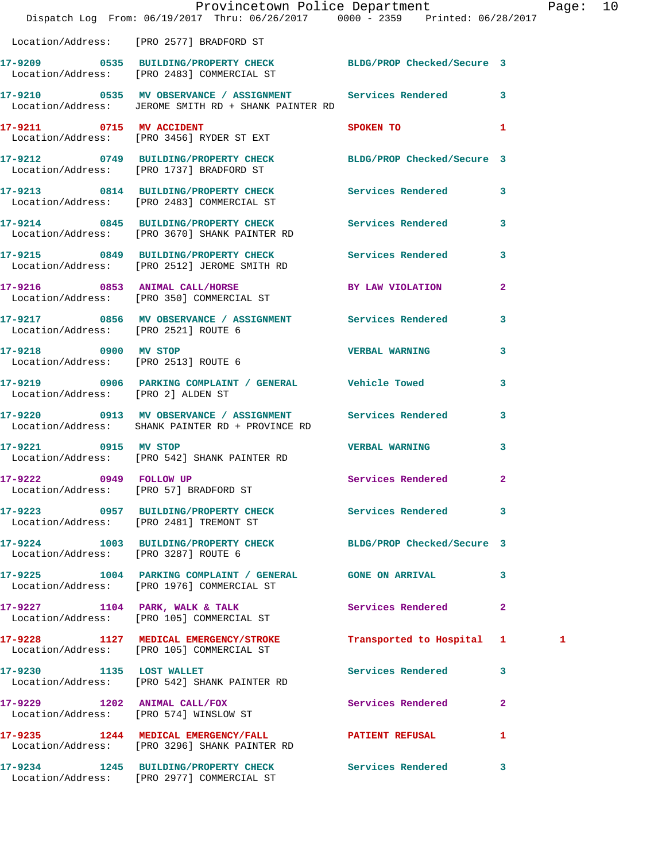|                                      | Provincetown Police Department<br>Dispatch Log From: 06/19/2017 Thru: 06/26/2017 0000 - 2359 Printed: 06/28/2017  |                          | Pag               |
|--------------------------------------|-------------------------------------------------------------------------------------------------------------------|--------------------------|-------------------|
|                                      |                                                                                                                   |                          |                   |
|                                      | Location/Address: [PRO 2577] BRADFORD ST                                                                          |                          |                   |
|                                      | 17-9209 0535 BUILDING/PROPERTY CHECK BLDG/PROP Checked/Secure 3<br>Location/Address: [PRO 2483] COMMERCIAL ST     |                          |                   |
|                                      | 17-9210 0535 MV OBSERVANCE / ASSIGNMENT Services Rendered<br>Location/Address: JEROME SMITH RD + SHANK PAINTER RD |                          | 3                 |
| 17-9211 0715 MV ACCIDENT             | Location/Address: [PRO 3456] RYDER ST EXT                                                                         | SPOKEN TO                | 1                 |
|                                      | 17-9212 0749 BUILDING/PROPERTY CHECK BLDG/PROP Checked/Secure 3<br>Location/Address: [PRO 1737] BRADFORD ST       |                          |                   |
|                                      | 17-9213 0814 BUILDING/PROPERTY CHECK Services Rendered<br>Location/Address: [PRO 2483] COMMERCIAL ST              |                          | 3                 |
|                                      | 17-9214 0845 BUILDING/PROPERTY CHECK Services Rendered<br>Location/Address: [PRO 3670] SHANK PAINTER RD           |                          | 3                 |
|                                      | 17-9215 0849 BUILDING/PROPERTY CHECK Services Rendered<br>Location/Address: [PRO 2512] JEROME SMITH RD            |                          | 3                 |
|                                      | 17-9216 0853 ANIMAL CALL/HORSE<br>Location/Address: [PRO 350] COMMERCIAL ST                                       | BY LAW VIOLATION         | $\overline{a}$    |
| Location/Address: [PRO 2521] ROUTE 6 | 17-9217 0856 MV OBSERVANCE / ASSIGNMENT Services Rendered                                                         |                          | 3                 |
| 17-9218 0900 MV STOP                 | Location/Address: [PRO 2513] ROUTE 6                                                                              | <b>VERBAL WARNING</b>    | 3                 |
| Location/Address: [PRO 2] ALDEN ST   | 17-9219 0906 PARKING COMPLAINT / GENERAL Vehicle Towed                                                            |                          | 3                 |
|                                      | 17-9220 0913 MV OBSERVANCE / ASSIGNMENT Services Rendered<br>Location/Address: SHANK PAINTER RD + PROVINCE RD     |                          | 3                 |
| 17-9221 0915 MV STOP                 | Location/Address: [PRO 542] SHANK PAINTER RD                                                                      | <b>VERBAL WARNING</b>    | 3                 |
| 17-9222 0949 FOLLOW UP               | Location/Address: [PRO 57] BRADFORD ST                                                                            | Services Rendered        | $\overline{2}$    |
|                                      | 17-9223 0957 BUILDING/PROPERTY CHECK Services Rendered<br>Location/Address: [PRO 2481] TREMONT ST                 |                          | 3                 |
| Location/Address: [PRO 3287] ROUTE 6 | 17-9224 1003 BUILDING/PROPERTY CHECK BLDG/PROP Checked/Secure 3                                                   |                          |                   |
|                                      | 17-9225 1004 PARKING COMPLAINT / GENERAL GONE ON ARRIVAL<br>Location/Address: [PRO 1976] COMMERCIAL ST            |                          | 3                 |
|                                      | 17-9227 1104 PARK, WALK & TALK<br>Location/Address: [PRO 105] COMMERCIAL ST                                       | <b>Services Rendered</b> | $\mathbf{2}$      |
|                                      | 17-9228 1127 MEDICAL EMERGENCY/STROKE<br>Location/Address: [PRO 105] COMMERCIAL ST                                | Transported to Hospital  | 1<br>$\mathbf{1}$ |
|                                      | 17-9230 1135 LOST WALLET<br>Location/Address: [PRO 542] SHANK PAINTER RD                                          | <b>Services Rendered</b> | 3                 |
|                                      | 17-9229 1202 ANIMAL CALL/FOX<br>Location/Address: [PRO 574] WINSLOW ST                                            | Services Rendered        | $\mathbf{2}$      |
|                                      | 17-9235 1244 MEDICAL EMERGENCY/FALL<br>Location/Address: [PRO 3296] SHANK PAINTER RD                              | <b>PATIENT REFUSAL</b>   | 1                 |
|                                      | 17-9234 1245 BUILDING/PROPERTY CHECK<br>Location/Address: [PRO 2977] COMMERCIAL ST                                | Services Rendered        | 3                 |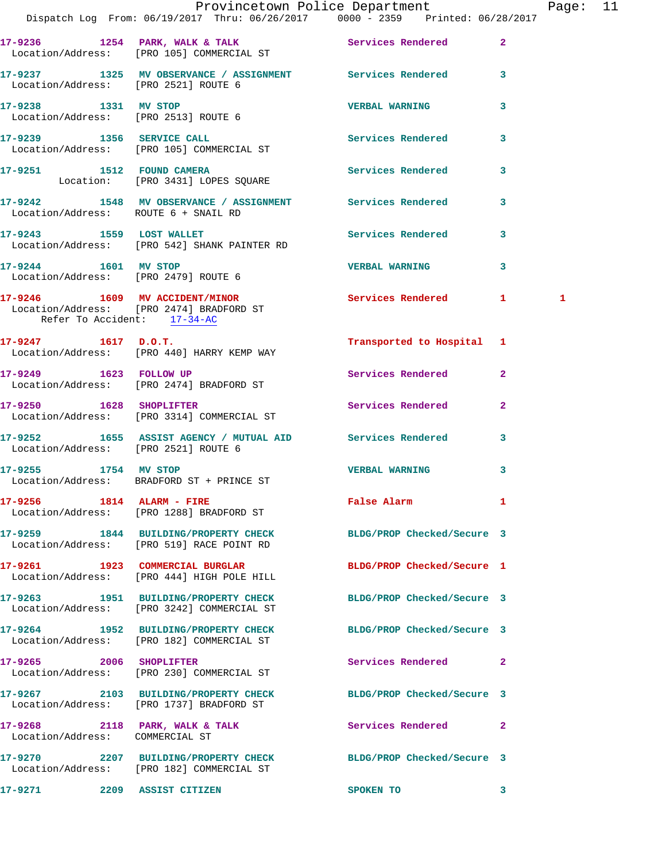|                                      | Provincetown Police Department Fage: 11<br>Dispatch Log From: 06/19/2017 Thru: 06/26/2017   0000 - 2359   Printed: 06/28/2017 |                                             |                         |
|--------------------------------------|-------------------------------------------------------------------------------------------------------------------------------|---------------------------------------------|-------------------------|
|                                      | 17-9236 1254 PARK, WALK & TALK 6 Services Rendered 2<br>Location/Address: [PRO 105] COMMERCIAL ST                             |                                             |                         |
| Location/Address: [PRO 2521] ROUTE 6 | 17-9237 1325 MV OBSERVANCE / ASSIGNMENT Services Rendered 3                                                                   |                                             |                         |
|                                      |                                                                                                                               | <b>VERBAL WARNING</b>                       | 3                       |
|                                      | 17-9239 1356 SERVICE CALL ST Services Rendered<br>Location/Address: [PRO 105] COMMERCIAL ST                                   |                                             | $\mathbf{3}$            |
|                                      | 17-9251 1512 FOUND CAMERA<br>Location: [PRO 3431] LOPES SQUARE                                                                | Services Rendered 3                         |                         |
| Location/Address: ROUTE 6 + SNAIL RD | 17-9242 1548 MV OBSERVANCE / ASSIGNMENT Services Rendered                                                                     |                                             | 3                       |
|                                      | 17-9243 1559 LOST WALLET<br>Location/Address: [PRO 542] SHANK PAINTER RD                                                      | Services Rendered 3                         |                         |
|                                      | 17-9244 1601 MV STOP 10 VERBAL WARNING<br>Location/Address: [PRO 2479] ROUTE 6                                                |                                             | 3                       |
| Refer To Accident: 17-34-AC          | 17-9246 1609 MV ACCIDENT/MINOR Services Rendered 1<br>Location/Address: [PRO 2474] BRADFORD ST                                |                                             | 1                       |
|                                      | $17-9247$ 1617 D.O.T.<br>Location/Address: [PRO 440] HARRY KEMP WAY                                                           | Transported to Hospital 1                   |                         |
| 17-9249 1623 FOLLOW UP               | Location/Address: [PRO 2474] BRADFORD ST                                                                                      | Services Rendered                           | $\mathbf{2}$            |
|                                      | 17-9250 1628 SHOPLIFTER<br>Location/Address: [PRO 3314] COMMERCIAL ST                                                         | Services Rendered                           | $\mathbf{2}$            |
| Location/Address: [PRO 2521] ROUTE 6 | 17-9252 1655 ASSIST AGENCY / MUTUAL AID Services Rendered                                                                     |                                             | 3                       |
|                                      | 17-9255 1754 MV STOP<br>Location/Address: BRADFORD ST + PRINCE ST                                                             | <b>VERBAL WARNING</b>                       | 3                       |
|                                      | Location/Address: [PRO 1288] BRADFORD ST                                                                                      | False Alarm <b>Exercise Service Service</b> | $\mathbf{1}$            |
|                                      | 17-9259 1844 BUILDING/PROPERTY CHECK BLDG/PROP Checked/Secure 3<br>Location/Address: [PRO 519] RACE POINT RD                  |                                             |                         |
|                                      | 17-9261 1923 COMMERCIAL BURGLAR<br>Location/Address: [PRO 444] HIGH POLE HILL                                                 | BLDG/PROP Checked/Secure 1                  |                         |
|                                      | 17-9263 1951 BUILDING/PROPERTY CHECK<br>Location/Address: [PRO 3242] COMMERCIAL ST                                            | BLDG/PROP Checked/Secure 3                  |                         |
|                                      | 17-9264 1952 BUILDING/PROPERTY CHECK BLDG/PROP Checked/Secure 3<br>Location/Address: [PRO 182] COMMERCIAL ST                  |                                             |                         |
|                                      | 17-9265 2006 SHOPLIFTER<br>Location/Address: [PRO 230] COMMERCIAL ST                                                          | Services Rendered                           | $\mathbf{2}$            |
|                                      | 17-9267 2103 BUILDING/PROPERTY CHECK BLDG/PROP Checked/Secure 3<br>Location/Address: [PRO 1737] BRADFORD ST                   |                                             |                         |
| Location/Address: COMMERCIAL ST      | 17-9268 2118 PARK, WALK & TALK Services Rendered                                                                              |                                             | $\mathbf{2}$            |
|                                      | 17-9270 2207 BUILDING/PROPERTY CHECK BLDG/PROP Checked/Secure 3<br>Location/Address: [PRO 182] COMMERCIAL ST                  |                                             |                         |
| 17-9271 2209 ASSIST CITIZEN          |                                                                                                                               | <b>SPOKEN TO</b>                            | $\overline{\mathbf{3}}$ |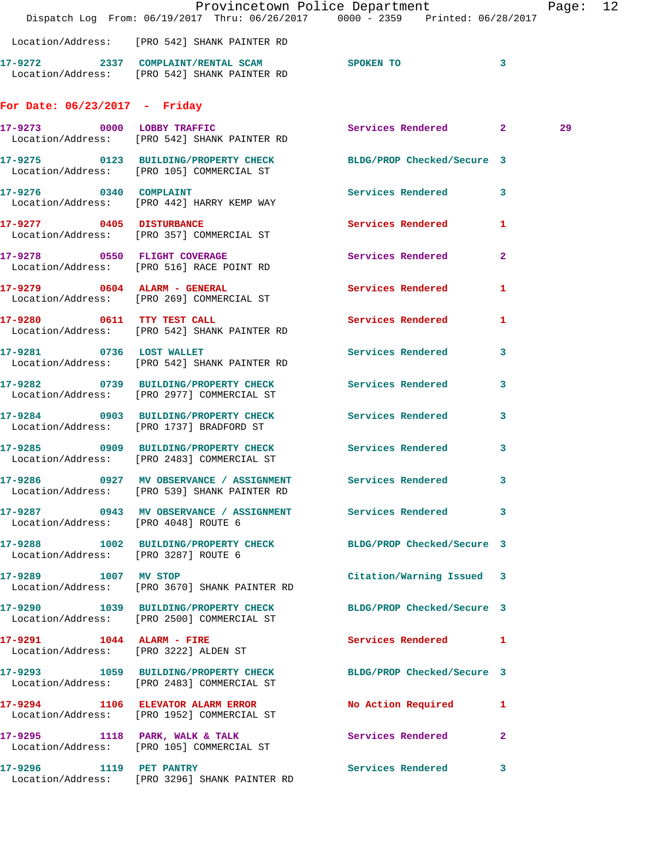|                                      |                                                                                                               | Provincetown Police Department<br>Dispatch Log From: 06/19/2017 Thru: 06/26/2017 0000 - 2359 Printed: 06/28/2017 | Page: 12 |  |
|--------------------------------------|---------------------------------------------------------------------------------------------------------------|------------------------------------------------------------------------------------------------------------------|----------|--|
|                                      | Location/Address: [PRO 542] SHANK PAINTER RD                                                                  |                                                                                                                  |          |  |
|                                      | 17-9272 2337 COMPLAINT/RENTAL SCAM SPOKEN TO<br>Location/Address: [PRO 542] SHANK PAINTER RD                  | $\sim$ 3                                                                                                         |          |  |
| For Date: $06/23/2017$ - Friday      |                                                                                                               |                                                                                                                  |          |  |
|                                      | 17-9273 0000 LOBBY TRAFFIC<br>Location/Address: [PRO 542] SHANK PAINTER RD                                    | Services Rendered 2                                                                                              | 29       |  |
|                                      | 17-9275 0123 BUILDING/PROPERTY CHECK BLDG/PROP Checked/Secure 3<br>Location/Address: [PRO 105] COMMERCIAL ST  |                                                                                                                  |          |  |
| 17-9276 0340 COMPLAINT               | Location/Address: [PRO 442] HARRY KEMP WAY                                                                    | Services Rendered 3                                                                                              |          |  |
|                                      | 17-9277 0405 DISTURBANCE<br>Location/Address: [PRO 357] COMMERCIAL ST                                         | Services Rendered 1                                                                                              |          |  |
|                                      | 17-9278 0550 FLIGHT COVERAGE<br>Location/Address: [PRO 516] RACE POINT RD                                     | Services Rendered 2                                                                                              |          |  |
|                                      | 17-9279 0604 ALARM - GENERAL<br>Location/Address: [PRO 269] COMMERCIAL ST                                     | Services Rendered 1                                                                                              |          |  |
| 17-9280 0611 TTY TEST CALL           | Location/Address: [PRO 542] SHANK PAINTER RD                                                                  | <b>Services Rendered</b><br>1                                                                                    |          |  |
|                                      | 17-9281 0736 LOST WALLET<br>Location/Address: [PRO 542] SHANK PAINTER RD                                      | <b>Services Rendered</b><br>$\mathbf{3}$                                                                         |          |  |
|                                      | 17-9282 0739 BUILDING/PROPERTY CHECK Services Rendered<br>Location/Address: [PRO 2977] COMMERCIAL ST          | 3                                                                                                                |          |  |
|                                      | 17-9284 0903 BUILDING/PROPERTY CHECK Services Rendered 3<br>Location/Address: [PRO 1737] BRADFORD ST          |                                                                                                                  |          |  |
|                                      | 17-9285 0909 BUILDING/PROPERTY CHECK Services Rendered<br>Location/Address: [PRO 2483] COMMERCIAL ST          | 3                                                                                                                |          |  |
|                                      | 17-9286 0927 MV OBSERVANCE / ASSIGNMENT Services Rendered 3<br>Location/Address: [PRO 539] SHANK PAINTER RD   |                                                                                                                  |          |  |
| Location/Address: [PRO 4048] ROUTE 6 | 17-9287 		 0943 MV OBSERVANCE / ASSIGNMENT Services Rendered 3                                                |                                                                                                                  |          |  |
| Location/Address: [PRO 3287] ROUTE 6 | 17-9288 1002 BUILDING/PROPERTY CHECK BLDG/PROP Checked/Secure 3                                               |                                                                                                                  |          |  |
| 17-9289 1007 MV STOP                 | Location/Address: [PRO 3670] SHANK PAINTER RD                                                                 | Citation/Warning Issued 3                                                                                        |          |  |
|                                      | 17-9290 1039 BUILDING/PROPERTY CHECK BLDG/PROP Checked/Secure 3<br>Location/Address: [PRO 2500] COMMERCIAL ST |                                                                                                                  |          |  |
| 17-9291 1044 ALARM - FIRE            | Location/Address: [PRO 3222] ALDEN ST                                                                         | Services Rendered 1                                                                                              |          |  |
|                                      | 17-9293 1059 BUILDING/PROPERTY CHECK BLDG/PROP Checked/Secure 3<br>Location/Address: [PRO 2483] COMMERCIAL ST |                                                                                                                  |          |  |
|                                      | 17-9294 1106 ELEVATOR ALARM ERROR<br>Location/Address: [PRO 1952] COMMERCIAL ST                               | No Action Required 1                                                                                             |          |  |
|                                      | 17-9295 1118 PARK, WALK & TALK<br>Location/Address: [PRO 105] COMMERCIAL ST                                   | Services Rendered 2                                                                                              |          |  |
|                                      | 17-9296 1119 PET PANTRY<br>Location/Address: [PRO 3296] SHANK PAINTER RD                                      | Services Rendered 3                                                                                              |          |  |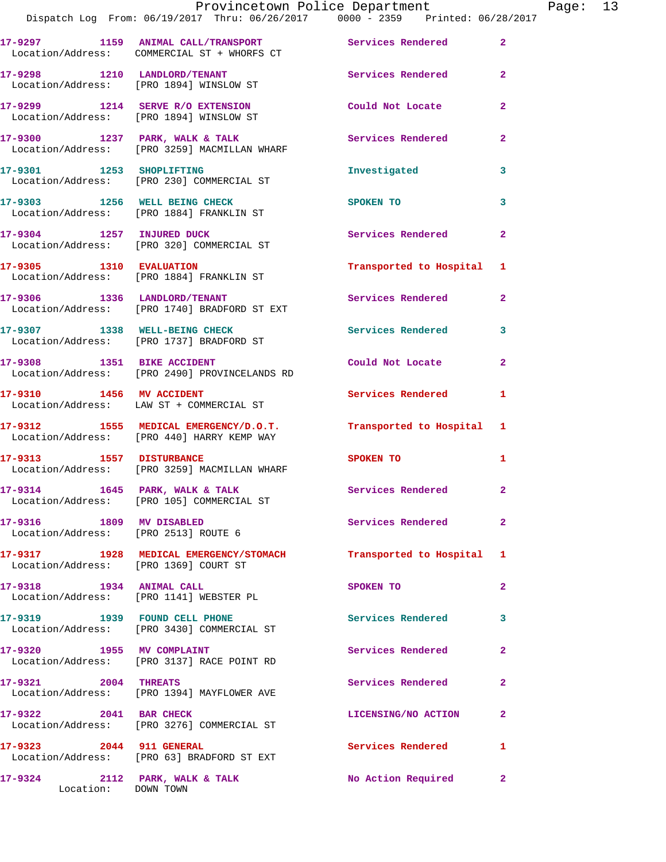|                                       | Provincetown Police Department Fage: 13<br>Dispatch Log From: 06/19/2017 Thru: 06/26/2017 0000 - 2359 Printed: 06/28/2017 |                                                                                                                                                                                                                               |                |  |
|---------------------------------------|---------------------------------------------------------------------------------------------------------------------------|-------------------------------------------------------------------------------------------------------------------------------------------------------------------------------------------------------------------------------|----------------|--|
|                                       |                                                                                                                           |                                                                                                                                                                                                                               |                |  |
|                                       | 17-9297 1159 ANIMAL CALL/TRANSPORT Services Rendered<br>Location/Address: COMMERCIAL ST + WHORFS CT                       |                                                                                                                                                                                                                               | $\mathbf{2}$   |  |
|                                       | 17-9298 1210 LANDLORD/TENANT Services Rendered<br>Location/Address: [PRO 1894] WINSLOW ST                                 |                                                                                                                                                                                                                               | $\mathbf{2}$   |  |
|                                       | 17-9299 1214 SERVE R/O EXTENSION Could Not Locate<br>Location/Address: [PRO 1894] WINSLOW ST                              |                                                                                                                                                                                                                               | $\mathbf{2}$   |  |
|                                       | 17-9300 1237 PARK, WALK & TALK (Services Rendered Secondered Location/Address: [PRO 3259] MACMILLAN WHARF                 |                                                                                                                                                                                                                               | $\mathbf{2}$   |  |
|                                       | 17-9301 1253 SHOPLIFTING<br>Location/Address: [PRO 230] COMMERCIAL ST                                                     | Investigated                                                                                                                                                                                                                  | 3              |  |
|                                       | 17-9303 1256 WELL BEING CHECK<br>Location/Address: [PRO 1884] FRANKLIN ST                                                 | <b>SPOKEN TO</b>                                                                                                                                                                                                              | 3              |  |
|                                       | 17-9304 1257 INJURED DUCK<br>Location/Address: [PRO 320] COMMERCIAL ST                                                    | Services Rendered                                                                                                                                                                                                             | $\mathbf{2}$   |  |
|                                       | 17-9305 1310 EVALUATION<br>Location/Address: [PRO 1884] FRANKLIN ST                                                       | Transported to Hospital 1                                                                                                                                                                                                     |                |  |
|                                       | 17-9306 1336 LANDLORD/TENANT<br>Location/Address: [PRO 1740] BRADFORD ST EXT                                              | Services Rendered 2                                                                                                                                                                                                           |                |  |
|                                       | 17-9307 1338 WELL-BEING CHECK<br>Location/Address: [PRO 1737] BRADFORD ST                                                 | Services Rendered                                                                                                                                                                                                             | 3              |  |
|                                       | 17-9308 1351 BIKE ACCIDENT<br>Location/Address: [PRO 2490] PROVINCELANDS RD                                               | Could Not Locate                                                                                                                                                                                                              | $\overline{2}$ |  |
|                                       | 17-9310 1456 MV ACCIDENT<br>Location/Address: LAW ST + COMMERCIAL ST                                                      | Services Rendered                                                                                                                                                                                                             | 1              |  |
|                                       | 17-9312 1555 MEDICAL EMERGENCY/D.O.T. Transported to Hospital 1<br>Location/Address: [PRO 440] HARRY KEMP WAY             |                                                                                                                                                                                                                               |                |  |
|                                       | 17-9313               1557    DISTURBANCE<br>Location/Address:     [PRO 3259] MACMILLAN WHARF                             | SPOKEN TO THE STATE OF THE STATE OF THE STATE OF THE STATE OF THE STATE OF THE STATE OF THE STATE OF THE STATE OF THE STATE OF THE STATE OF THE STATE OF THE STATE OF THE STATE OF THE STATE OF THE STATE OF THE STATE OF THE | 1              |  |
|                                       | 17-9314 1645 PARK, WALK & TALK<br>Location/Address: [PRO 105] COMMERCIAL ST                                               | Services Rendered 2                                                                                                                                                                                                           |                |  |
|                                       | 17-9316 1809 MV DISABLED<br>Location/Address: [PRO 2513] ROUTE 6                                                          | Services Rendered                                                                                                                                                                                                             | $\overline{2}$ |  |
| Location/Address: [PRO 1369] COURT ST | 17-9317 1928 MEDICAL EMERGENCY/STOMACH Transported to Hospital 1                                                          |                                                                                                                                                                                                                               |                |  |
|                                       | 17-9318 1934 ANIMAL CALL<br>Location/Address: [PRO 1141] WEBSTER PL                                                       | SPOKEN TO                                                                                                                                                                                                                     | $\mathbf{2}$   |  |
|                                       | 17-9319 1939 FOUND CELL PHONE<br>Location/Address: [PRO 3430] COMMERCIAL ST                                               | Services Rendered 3                                                                                                                                                                                                           |                |  |
|                                       | 17-9320 1955 MV COMPLAINT<br>Location/Address: [PRO 3137] RACE POINT RD                                                   | Services Rendered                                                                                                                                                                                                             | $\mathbf{2}$   |  |
| 17-9321 2004 THREATS                  | Location/Address: [PRO 1394] MAYFLOWER AVE                                                                                | Services Rendered                                                                                                                                                                                                             | $\mathbf{2}$   |  |
|                                       | 17-9322 2041 BAR CHECK<br>Location/Address: [PRO 3276] COMMERCIAL ST                                                      | LICENSING/NO ACTION                                                                                                                                                                                                           | 2              |  |
| 17-9323 2044 911 GENERAL              | Location/Address: [PRO 63] BRADFORD ST EXT                                                                                | <b>Services Rendered</b>                                                                                                                                                                                                      | 1              |  |
| Location: DOWN TOWN                   | 17-9324 2112 PARK, WALK & TALK                                                                                            | No Action Required                                                                                                                                                                                                            | $\mathbf{2}$   |  |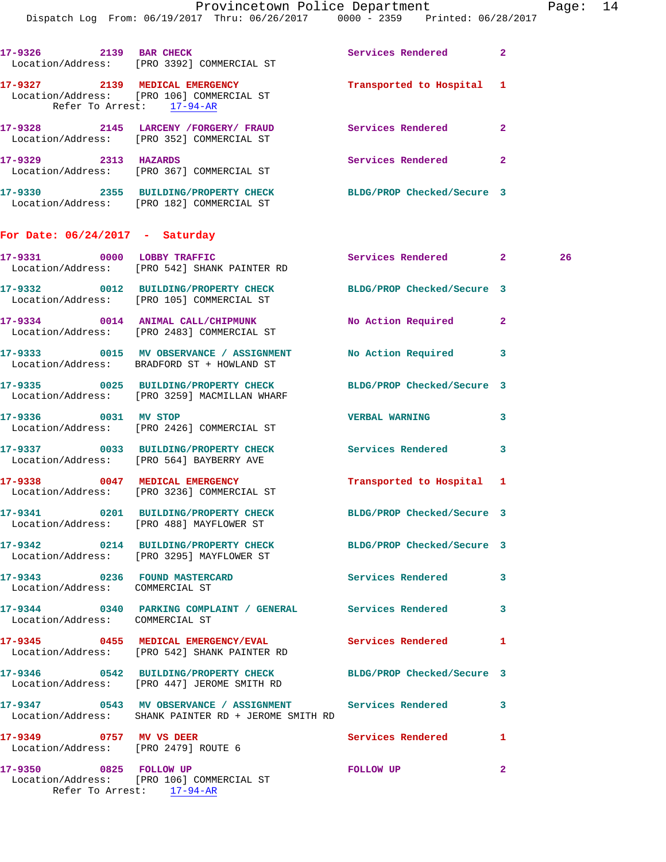Provincetown Police Department<br>17 Thru: 06/26/2017 0000 - 2359 Printed: 06/28/2017

|                                   | Dispatch Log From: 06/19/2017 Thru: 06/26/2017 0000 - 2359 Printed: 06/28/2017                               |                           |                      |  |
|-----------------------------------|--------------------------------------------------------------------------------------------------------------|---------------------------|----------------------|--|
|                                   | 17-9326 2139 BAR CHECK<br>Location/Address: [PRO 3392] COMMERCIAL ST                                         | <b>Services Rendered</b>  | $\overline{2}$       |  |
| Refer To Arrest: 17-94-AR         | 17-9327 2139 MEDICAL EMERGENCY<br>Location/Address: [PRO 106] COMMERCIAL ST                                  | Transported to Hospital 1 |                      |  |
|                                   | 17-9328 2145 LARCENY / FORGERY / FRAUD Services Rendered<br>Location/Address: [PRO 352] COMMERCIAL ST        |                           | $\overline{2}$       |  |
| 17-9329 2313 HAZARDS              | Location/Address: [PRO 367] COMMERCIAL ST                                                                    | <b>Services Rendered</b>  | $\overline{2}$       |  |
|                                   | 17-9330 2355 BUILDING/PROPERTY CHECK BLDG/PROP Checked/Secure 3<br>Location/Address: [PRO 182] COMMERCIAL ST |                           |                      |  |
| For Date: $06/24/2017$ - Saturday |                                                                                                              |                           |                      |  |
| 17-9331 0000 LOBBY TRAFFIC        | Location/Address: [PRO 542] SHANK PAINTER RD                                                                 | <b>Services Rendered</b>  | $\overline{2}$<br>26 |  |
|                                   | 17-9332 0012 BUILDING/PROPERTY CHECK BLDG/PROP Checked/Secure 3<br>Location/Address: [PRO 105] COMMERCIAL ST |                           |                      |  |

|                                                                  | 17-9332 0012 BUILDING/PROPERTY CHECK<br>Location/Address: [PRO 105] COMMERCIAL ST                     | BLDG/PROP Checked/Secure 3 |                         |
|------------------------------------------------------------------|-------------------------------------------------------------------------------------------------------|----------------------------|-------------------------|
|                                                                  | 17-9334 0014 ANIMAL CALL/CHIPMUNK<br>Location/Address: [PRO 2483] COMMERCIAL ST                       | No Action Required         | $\overline{2}$          |
|                                                                  | 17-9333 0015 MV OBSERVANCE / ASSIGNMENT<br>Location/Address: BRADFORD ST + HOWLAND ST                 | No Action Required         | $\overline{\mathbf{3}}$ |
|                                                                  | 17-9335 0025 BUILDING/PROPERTY CHECK<br>Location/Address: [PRO 3259] MACMILLAN WHARF                  | BLDG/PROP Checked/Secure 3 |                         |
| 17-9336 0031 MV STOP                                             | Location/Address: [PRO 2426] COMMERCIAL ST                                                            | <b>VERBAL WARNING</b>      | 3                       |
|                                                                  | 17-9337 0033 BUILDING/PROPERTY CHECK<br>Location/Address: [PRO 564] BAYBERRY AVE                      | <b>Services Rendered</b>   | $\overline{\mathbf{3}}$ |
|                                                                  | 17-9338 0047 MEDICAL EMERGENCY<br>Location/Address: [PRO 3236] COMMERCIAL ST                          | Transported to Hospital 1  |                         |
|                                                                  | 17-9341 0201 BUILDING/PROPERTY CHECK<br>Location/Address: [PRO 488] MAYFLOWER ST                      | BLDG/PROP Checked/Secure 3 |                         |
|                                                                  | 17-9342 0214 BUILDING/PROPERTY CHECK<br>Location/Address: [PRO 3295] MAYFLOWER ST                     | BLDG/PROP Checked/Secure 3 |                         |
| 17-9343 0236 FOUND MASTERCARD<br>Location/Address: COMMERCIAL ST |                                                                                                       | <b>Services Rendered</b>   | $\overline{\mathbf{3}}$ |
| Location/Address: COMMERCIAL ST                                  | 17-9344 0340 PARKING COMPLAINT / GENERAL Services Rendered                                            |                            | $\mathbf{3}$            |
|                                                                  | 17-9345 0455 MEDICAL EMERGENCY/EVAL Services Rendered<br>Location/Address: [PRO 542] SHANK PAINTER RD |                            | $\mathbf{1}$            |
|                                                                  | 17-9346      0542   BUILDING/PROPERTY CHECK<br>Location/Address:   [PRO 447] JEROME SMITH RD          | BLDG/PROP Checked/Secure 3 |                         |
|                                                                  | 17-9347 0543 MV OBSERVANCE / ASSIGNMENT<br>Location/Address: SHANK PAINTER RD + JEROME SMITH RD       | <b>Services Rendered</b>   | $\mathbf{3}$            |
| 17-9349 0757 MV VS DEER<br>Location/Address: [PRO 2479] ROUTE 6  |                                                                                                       | Services Rendered 1        |                         |
| 17-9350 0825 FOLLOW UP                                           | Location/Address: [PRO 106] COMMERCIAL ST                                                             | <b>FOLLOW UP</b>           | $\mathbf{2}$            |

Refer To Arrest: 17-94-AR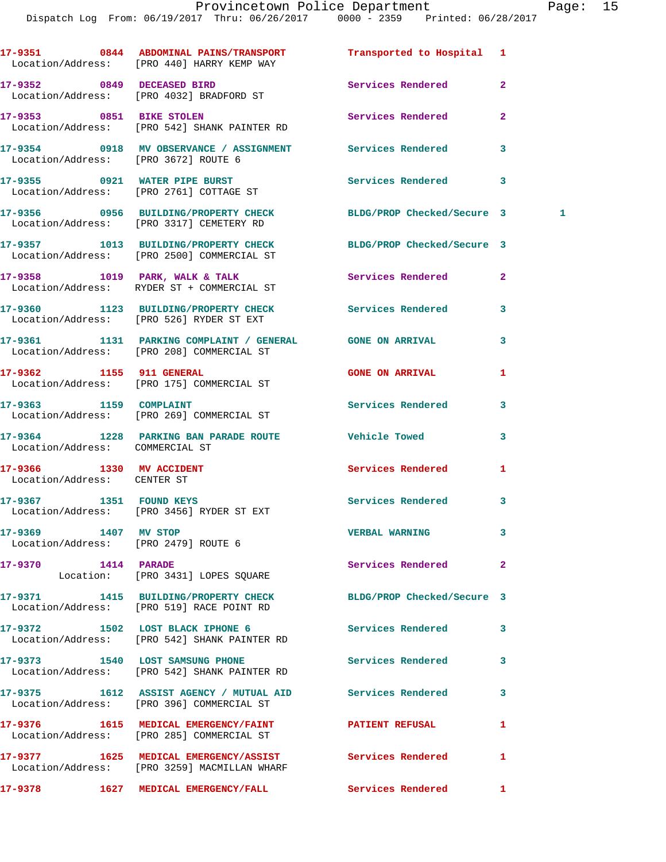**17-9351 0844 ABDOMINAL PAINS/TRANSPORT Transported to Hospital 1**  Location/Address: [PRO 440] HARRY KEMP WAY **17-9352 0849 DECEASED BIRD Services Rendered 2**  Location/Address: [PRO 4032] BRADFORD ST **17-9353 0851 BIKE STOLEN Services Rendered 2**  Location/Address: [PRO 542] SHANK PAINTER RD **17-9354 0918 MV OBSERVANCE / ASSIGNMENT Services Rendered 3**  Location/Address: [PRO 3672] ROUTE 6 **17-9355 0921 WATER PIPE BURST Services Rendered 3**  Location/Address: [PRO 2761] COTTAGE ST **17-9356 0956 BUILDING/PROPERTY CHECK BLDG/PROP Checked/Secure 3 1**  Location/Address: [PRO 3317] CEMETERY RD **17-9357 1013 BUILDING/PROPERTY CHECK BLDG/PROP Checked/Secure 3**  Location/Address: [PRO 2500] COMMERCIAL ST 17-9358 1019 PARK, WALK & TALK **Services Rendered** 2 Location/Address: RYDER ST + COMMERCIAL ST **17-9360 1123 BUILDING/PROPERTY CHECK Services Rendered 3**  Location/Address: [PRO 526] RYDER ST EXT **17-9361 1131 PARKING COMPLAINT / GENERAL GONE ON ARRIVAL 3**  Location/Address: [PRO 208] COMMERCIAL ST **17-9362 1155 911 GENERAL GONE ON ARRIVAL 1**  Location/Address: [PRO 175] COMMERCIAL ST 17-9363 1159 COMPLAINT **Services Rendered** 3 Location/Address: [PRO 269] COMMERCIAL ST **17-9364 1228 PARKING BAN PARADE ROUTE Vehicle Towed 3**  Location/Address: COMMERCIAL ST **17-9366 1330 MV ACCIDENT Services Rendered 1**  Location/Address: CENTER ST 17-9367 1351 FOUND KEYS **17-9367** Services Rendered 3 Location/Address: [PRO 3456] RYDER ST EXT **17-9369 1407 MV STOP VERBAL WARNING 3**  Location/Address: [PRO 2479] ROUTE 6 **17-9370 1414 PARADE Services Rendered 2**  Location: [PRO 3431] LOPES SQUARE **17-9371 1415 BUILDING/PROPERTY CHECK BLDG/PROP Checked/Secure 3**  Location/Address: [PRO 519] RACE POINT RD **17-9372 1502 LOST BLACK IPHONE 6 Services Rendered 3**  Location/Address: [PRO 542] SHANK PAINTER RD **17-9373 1540 LOST SAMSUNG PHONE Services Rendered 3**  Location/Address: [PRO 542] SHANK PAINTER RD **17-9375 1612 ASSIST AGENCY / MUTUAL AID Services Rendered 3**  Location/Address: [PRO 396] COMMERCIAL ST **17-9376 1615 MEDICAL EMERGENCY/FAINT PATIENT REFUSAL 1**  Location/Address: [PRO 285] COMMERCIAL ST 17-9377 1625 MEDICAL EMERGENCY/ASSIST Services Rendered 1 Location/Address: [PRO 3259] MACMILLAN WHARF

**17-9378 1627 MEDICAL EMERGENCY/FALL Services Rendered 1**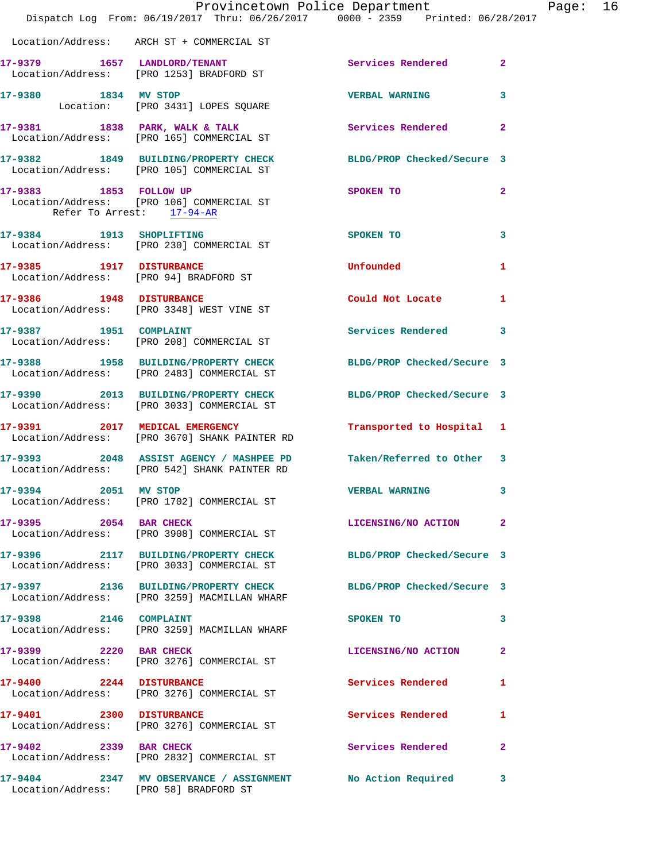|                                        | Provincetown Police Department<br>Dispatch Log From: 06/19/2017 Thru: 06/26/2017 0000 - 2359 Printed: 06/28/2017 |                            |                |
|----------------------------------------|------------------------------------------------------------------------------------------------------------------|----------------------------|----------------|
|                                        | Location/Address: ARCH ST + COMMERCIAL ST                                                                        |                            |                |
|                                        | 17-9379 1657 LANDLORD/TENANT<br>Location/Address: [PRO 1253] BRADFORD ST                                         | Services Rendered          | $\overline{2}$ |
| 17-9380 1834 MV STOP                   | Location: [PRO 3431] LOPES SQUARE                                                                                | <b>VERBAL WARNING</b>      | 3              |
|                                        | 17-9381 1838 PARK, WALK & TALK<br>Location/Address: [PRO 165] COMMERCIAL ST                                      | Services Rendered          | $\overline{a}$ |
|                                        | 17-9382 1849 BUILDING/PROPERTY CHECK BLDG/PROP Checked/Secure 3<br>Location/Address: [PRO 105] COMMERCIAL ST     |                            |                |
| Refer To Arrest: 17-94-AR              | 17-9383 1853 FOLLOW UP<br>Location/Address: [PRO 106] COMMERCIAL ST                                              | SPOKEN TO                  | $\mathbf{2}$   |
|                                        | 17-9384 1913 SHOPLIFTING<br>Location/Address: [PRO 230] COMMERCIAL ST                                            | SPOKEN TO                  | 3              |
| 17-9385 1917 DISTURBANCE               | Location/Address: [PRO 94] BRADFORD ST                                                                           | Unfounded                  | 1              |
|                                        | 17-9386 1948 DISTURBANCE<br>Location/Address: [PRO 3348] WEST VINE ST                                            | Could Not Locate           | 1              |
| 17-9387 1951 COMPLAINT                 | Location/Address: [PRO 208] COMMERCIAL ST                                                                        | Services Rendered          | 3              |
|                                        | 17-9388 1958 BUILDING/PROPERTY CHECK<br>Location/Address: [PRO 2483] COMMERCIAL ST                               | BLDG/PROP Checked/Secure 3 |                |
|                                        | 17-9390 2013 BUILDING/PROPERTY CHECK<br>Location/Address: [PRO 3033] COMMERCIAL ST                               | BLDG/PROP Checked/Secure 3 |                |
|                                        | 17-9391 2017 MEDICAL EMERGENCY<br>Location/Address: [PRO 3670] SHANK PAINTER RD                                  | Transported to Hospital 1  |                |
|                                        | 17-9393 2048 ASSIST AGENCY / MASHPEE PD Taken/Referred to Other<br>Location/Address: [PRO 542] SHANK PAINTER RD  |                            | 3              |
| 17-9394 2051 MV STOP                   | Location/Address: [PRO 1702] COMMERCIAL ST                                                                       | <b>VERBAL WARNING</b>      | 3              |
| 17-9395 2054 BAR CHECK                 | Location/Address: [PRO 3908] COMMERCIAL ST                                                                       | LICENSING/NO ACTION        | $\overline{a}$ |
|                                        | 17-9396 2117 BUILDING/PROPERTY CHECK BLDG/PROP Checked/Secure 3<br>Location/Address: [PRO 3033] COMMERCIAL ST    |                            |                |
|                                        | 17-9397 2136 BUILDING/PROPERTY CHECK<br>Location/Address: [PRO 3259] MACMILLAN WHARF                             | BLDG/PROP Checked/Secure 3 |                |
| 17-9398 2146 COMPLAINT                 | Location/Address: [PRO 3259] MACMILLAN WHARF                                                                     | SPOKEN TO                  | 3              |
| 17-9399 2220 BAR CHECK                 | Location/Address: [PRO 3276] COMMERCIAL ST                                                                       | LICENSING/NO ACTION        | $\mathbf{2}$   |
| 17-9400 2244 DISTURBANCE               | Location/Address: [PRO 3276] COMMERCIAL ST                                                                       | Services Rendered          | 1              |
| 17-9401 2300 DISTURBANCE               | Location/Address: [PRO 3276] COMMERCIAL ST                                                                       | Services Rendered          | 1              |
| 17-9402 2339 BAR CHECK                 | Location/Address: [PRO 2832] COMMERCIAL ST                                                                       | Services Rendered          | $\mathbf{2}$   |
| Location/Address: [PRO 58] BRADFORD ST | 17-9404 2347 MV OBSERVANCE / ASSIGNMENT No Action Required                                                       |                            | 3              |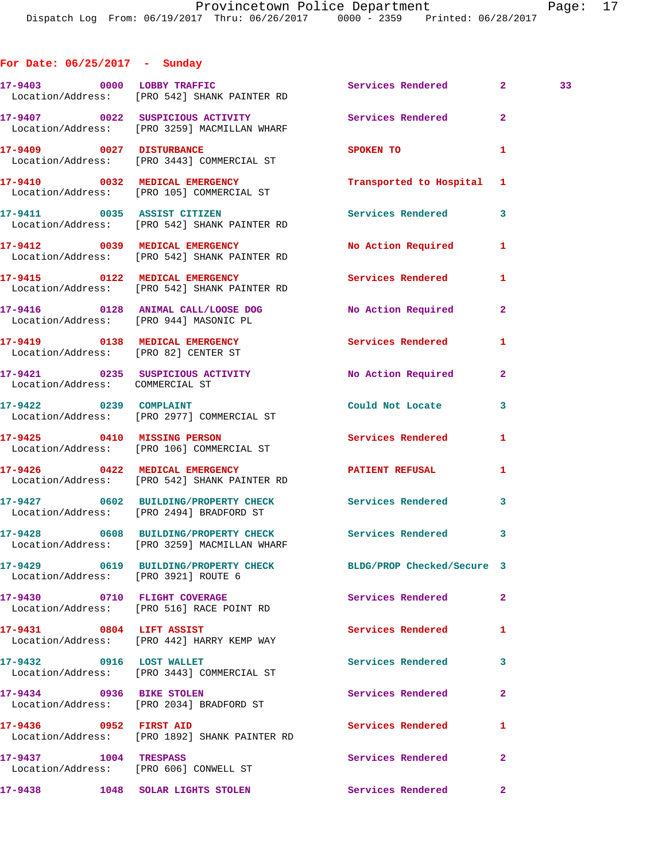## **For Date: 06/25/2017 - Sunday**

|                                      | 17-9403 0000 LOBBY TRAFFIC<br>Location/Address: [PRO 542] SHANK PAINTER RD                                      | Services Rendered 2       |                | 33 |
|--------------------------------------|-----------------------------------------------------------------------------------------------------------------|---------------------------|----------------|----|
|                                      | 17-9407 0022 SUSPICIOUS ACTIVITY     Services Rendered     2<br>Location/Address:    [PRO 3259] MACMILLAN WHARF |                           |                |    |
|                                      | 17-9409 0027 DISTURBANCE<br>Location/Address: [PRO 3443] COMMERCIAL ST                                          | SPOKEN TO                 | 1              |    |
|                                      | 17-9410 0032 MEDICAL EMERGENCY<br>Location/Address: [PRO 105] COMMERCIAL ST                                     | Transported to Hospital 1 |                |    |
|                                      | 17-9411 0035 ASSIST CITIZEN<br>Location/Address: [PRO 542] SHANK PAINTER RD                                     | Services Rendered         | $\mathbf{3}$   |    |
|                                      | 17-9412 0039 MEDICAL EMERGENCY<br>Location/Address: [PRO 542] SHANK PAINTER RD                                  | No Action Required 1      |                |    |
|                                      | 17-9415 0122 MEDICAL EMERGENCY<br>Location/Address: [PRO 542] SHANK PAINTER RD                                  | Services Rendered         | 1              |    |
|                                      | 17-9416  0128 ANIMAL CALL/LOOSE DOG  No Action Required  2<br>Location/Address: [PRO 944] MASONIC PL            |                           |                |    |
| Location/Address: [PRO 82] CENTER ST | 17-9419 0138 MEDICAL EMERGENCY                                                                                  | Services Rendered         | 1              |    |
| Location/Address: COMMERCIAL ST      | 17-9421 0235 SUSPICIOUS ACTIVITY No Action Required 2                                                           |                           |                |    |
|                                      | 17-9422 0239 COMPLAINT<br>Location/Address: [PRO 2977] COMMERCIAL ST                                            | Could Not Locate          | 3              |    |
|                                      | 17-9425 0410 MISSING PERSON<br>Location/Address: [PRO 106] COMMERCIAL ST                                        | Services Rendered         | 1              |    |
|                                      | 17-9426 0422 MEDICAL EMERGENCY<br>Location/Address: [PRO 542] SHANK PAINTER RD                                  | PATIENT REFUSAL           | 1              |    |
|                                      | 17-9427 0602 BUILDING/PROPERTY CHECK Services Rendered<br>Location/Address: [PRO 2494] BRADFORD ST              |                           | 3              |    |
|                                      | 17-9428 0608 BUILDING/PROPERTY CHECK Services Rendered 3<br>Location/Address: [PRO 3259] MACMILLAN WHARF        |                           |                |    |
| Location/Address: [PRO 3921] ROUTE 6 | 17-9429 0619 BUILDING/PROPERTY CHECK BLDG/PROP Checked/Secure 3                                                 |                           |                |    |
|                                      | 17-9430 0710 FLIGHT COVERAGE<br>Location/Address: [PRO 516] RACE POINT RD                                       | <b>Services Rendered</b>  | $\overline{2}$ |    |
| 17-9431 0804 LIFT ASSIST             | Location/Address: [PRO 442] HARRY KEMP WAY                                                                      | <b>Services Rendered</b>  | 1              |    |
| 17-9432 0916 LOST WALLET             | Location/Address: [PRO 3443] COMMERCIAL ST                                                                      | <b>Services Rendered</b>  | 3              |    |
| 17-9434 0936 BIKE STOLEN             | Location/Address: [PRO 2034] BRADFORD ST                                                                        | Services Rendered         | 2              |    |
| 17-9436 0952 FIRST AID               | Location/Address: [PRO 1892] SHANK PAINTER RD                                                                   | Services Rendered         | 1              |    |
| 17-9437 1004 TRESPASS                | Location/Address: [PRO 606] CONWELL ST                                                                          | Services Rendered         | $\mathbf{2}$   |    |
| 17-9438                              | 1048 SOLAR LIGHTS STOLEN                                                                                        | Services Rendered         | $\mathbf{2}$   |    |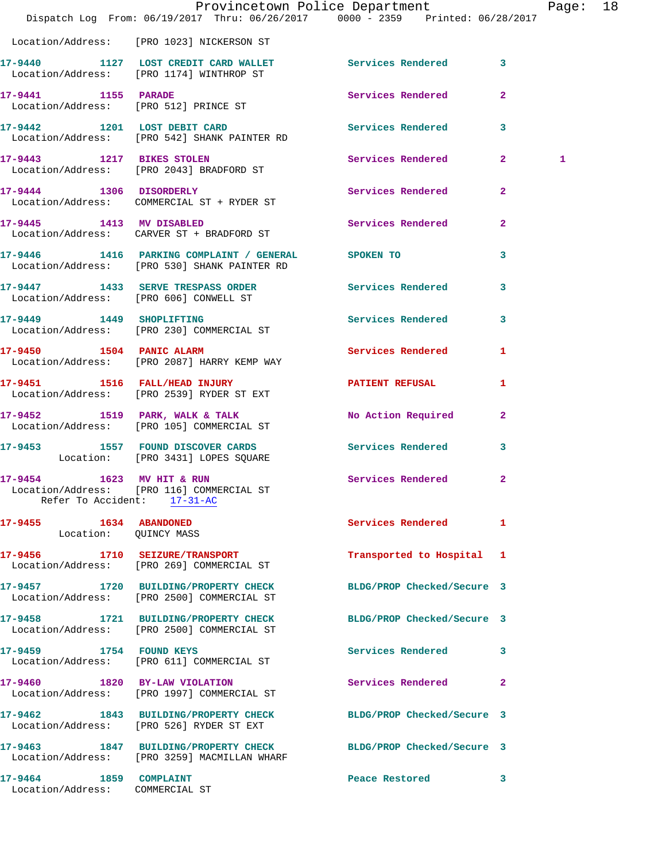|                                                           | Dispatch Log From: 06/19/2017 Thru: 06/26/2017 0000 - 2359 Printed: 06/28/2017                                  | Provincetown Police Department |                | Page: 18 |  |
|-----------------------------------------------------------|-----------------------------------------------------------------------------------------------------------------|--------------------------------|----------------|----------|--|
|                                                           | Location/Address: [PRO 1023] NICKERSON ST                                                                       |                                |                |          |  |
|                                                           | 17-9440 1127 LOST CREDIT CARD WALLET Services Rendered 3<br>Location/Address: [PRO 1174] WINTHROP ST            |                                |                |          |  |
|                                                           | 17-9441 1155 PARADE<br>Location/Address: [PRO 512] PRINCE ST                                                    | Services Rendered              | $\overline{2}$ |          |  |
|                                                           | 17-9442 1201 LOST DEBIT CARD Services Rendered 3<br>Location/Address: [PRO 542] SHANK PAINTER RD                |                                |                |          |  |
|                                                           | 17-9443 1217 BIKES STOLEN<br>Location/Address: [PRO 2043] BRADFORD ST                                           | Services Rendered 2            |                | 1        |  |
| 17-9444 1306 DISORDERLY                                   | Location/Address: COMMERCIAL ST + RYDER ST                                                                      | Services Rendered 2            |                |          |  |
|                                                           | 17-9445 1413 MV DISABLED<br>Location/Address: CARVER ST + BRADFORD ST                                           | Services Rendered              | $\mathbf{2}$   |          |  |
|                                                           | 17-9446 1416 PARKING COMPLAINT / GENERAL SPOKEN TO<br>Location/Address: [PRO 530] SHANK PAINTER RD              |                                | 3              |          |  |
|                                                           | 17-9447 1433 SERVE TRESPASS ORDER Services Rendered 3<br>Location/Address: [PRO 606] CONWELL ST                 |                                |                |          |  |
|                                                           | 17-9449 1449 SHOPLIFTING<br>Location/Address: [PRO 230] COMMERCIAL ST                                           | Services Rendered 3            |                |          |  |
|                                                           | 17-9450 1504 PANIC ALARM<br>Location/Address: [PRO 2087] HARRY KEMP WAY                                         | Services Rendered 1            |                |          |  |
|                                                           | 17-9451 1516 FALL/HEAD INJURY<br>Location/Address: [PRO 2539] RYDER ST EXT                                      | <b>PATIENT REFUSAL</b>         | 1              |          |  |
|                                                           | 17-9452 1519 PARK, WALK & TALK<br>Location/Address: [PRO 105] COMMERCIAL ST                                     | No Action Required             | $\overline{2}$ |          |  |
|                                                           | 17-9453 1557 FOUND DISCOVER CARDS Services Rendered<br>Location: [PRO 3431] LOPES SQUARE                        |                                | 3              |          |  |
| 17-9454 1623 MV HIT & RUN                                 | Location/Address: [PRO 116] COMMERCIAL ST<br>Refer To Accident: 17-31-AC                                        | Services Rendered 2            |                |          |  |
| 17-9455 1634 ABANDONED                                    |                                                                                                                 | Services Rendered              | $\mathbf{1}$   |          |  |
|                                                           | 17-9456 1710 SEIZURE/TRANSPORT<br>Location/Address: [PRO 269] COMMERCIAL ST                                     | Transported to Hospital 1      |                |          |  |
|                                                           | 17-9457 1720 BUILDING/PROPERTY CHECK<br>Location/Address: [PRO 2500] COMMERCIAL ST                              | BLDG/PROP Checked/Secure 3     |                |          |  |
|                                                           | 17-9458 1721 BUILDING/PROPERTY CHECK<br>Location/Address: [PRO 2500] COMMERCIAL ST                              | BLDG/PROP Checked/Secure 3     |                |          |  |
|                                                           | 17-9459 1754 FOUND KEYS<br>Location/Address: [PRO 611] COMMERCIAL ST                                            | Services Rendered              | 3              |          |  |
| 17-9460 1820 BY-LAW VIOLATION                             | Location/Address: [PRO 1997] COMMERCIAL ST                                                                      | Services Rendered              | $\mathbf{2}$   |          |  |
|                                                           | 17-9462 1843 BUILDING/PROPERTY CHECK BLDG/PROP Checked/Secure 3<br>Location/Address: [PRO 526] RYDER ST EXT     |                                |                |          |  |
|                                                           | 17-9463 1847 BUILDING/PROPERTY CHECK BLDG/PROP Checked/Secure 3<br>Location/Address: [PRO 3259] MACMILLAN WHARF |                                |                |          |  |
| 17-9464 1859 COMPLAINT<br>Location/Address: COMMERCIAL ST |                                                                                                                 | Peace Restored <b>Peace</b>    | 3              |          |  |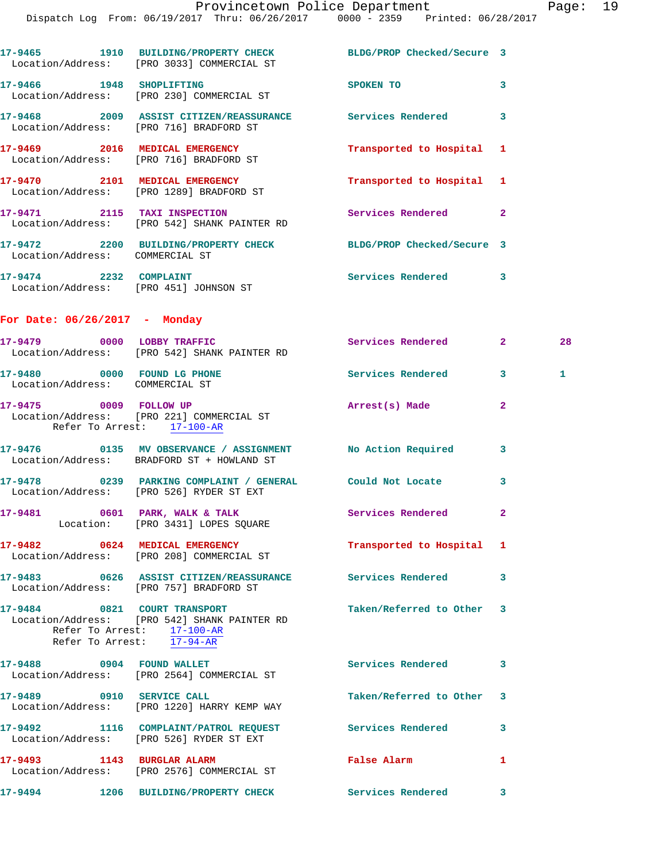|                                                                | Dispatch Log From: 06/19/2017 Thru: 06/26/2017 0000 - 2359 Printed: 06/28/2017                                                                      |                           |              |              |
|----------------------------------------------------------------|-----------------------------------------------------------------------------------------------------------------------------------------------------|---------------------------|--------------|--------------|
|                                                                | 17-9465 1910 BUILDING/PROPERTY CHECK BLDG/PROP Checked/Secure 3<br>Location/Address: [PRO 3033] COMMERCIAL ST                                       |                           |              |              |
| 17-9466 1948 SHOPLIFTING                                       | Location/Address: [PRO 230] COMMERCIAL ST                                                                                                           | <b>SPOKEN TO</b>          | 3            |              |
|                                                                | 17-9468 2009 ASSIST CITIZEN/REASSURANCE Services Rendered<br>Location/Address: [PRO 716] BRADFORD ST                                                |                           | 3            |              |
|                                                                | 17-9469 2016 MEDICAL EMERGENCY<br>Location/Address: [PRO 716] BRADFORD ST                                                                           | Transported to Hospital   | 1            |              |
|                                                                | 17-9470 2101 MEDICAL EMERGENCY<br>Location/Address: [PRO 1289] BRADFORD ST                                                                          | Transported to Hospital 1 |              |              |
|                                                                | 17-9471 2115 TAXI INSPECTION<br>Location/Address: [PRO 542] SHANK PAINTER RD                                                                        | Services Rendered         | $\mathbf{2}$ |              |
| Location/Address: COMMERCIAL ST                                | 17-9472 2200 BUILDING/PROPERTY CHECK BLDG/PROP Checked/Secure 3                                                                                     |                           |              |              |
| 17-9474 2232 COMPLAINT                                         | Location/Address: [PRO 451] JOHNSON ST                                                                                                              | Services Rendered         | 3            |              |
| For Date: $06/26/2017$ - Monday                                |                                                                                                                                                     |                           |              |              |
|                                                                | 17-9479 0000 LOBBY TRAFFIC<br>Location/Address: [PRO 542] SHANK PAINTER RD                                                                          | Services Rendered         | $\mathbf{2}$ | 28           |
| 17-9480 0000 FOUND LG PHONE<br>Location/Address: COMMERCIAL ST |                                                                                                                                                     | Services Rendered 3       |              | $\mathbf{1}$ |
| Refer To Arrest: 17-100-AR                                     | 17-9475 0009 FOLLOW UP<br>Location/Address: [PRO 221] COMMERCIAL ST                                                                                 | Arrest(s) Made            | $\mathbf{2}$ |              |
|                                                                | 17-9476 		 0135 MV OBSERVANCE / ASSIGNMENT 		 No Action Required 3<br>Location/Address: BRADFORD ST + HOWLAND ST                                    |                           |              |              |
|                                                                | 17-9478 0239 PARKING COMPLAINT / GENERAL Could Not Locate<br>Location/Address: [PRO 526] RYDER ST EXT                                               |                           | 3            |              |
|                                                                | 17-9481 0601 PARK, WALK & TALK<br>Location: [PRO 3431] LOPES SQUARE                                                                                 | Services Rendered         | $\mathbf{2}$ |              |
|                                                                | 17-9482 0624 MEDICAL EMERGENCY<br>Location/Address: [PRO 208] COMMERCIAL ST                                                                         | Transported to Hospital 1 |              |              |
|                                                                | 17-9483 0626 ASSIST CITIZEN/REASSURANCE Services Rendered<br>Location/Address: [PRO 757] BRADFORD ST                                                |                           | 3            |              |
|                                                                | 17-9484 0821 COURT TRANSPORT<br>Location/Address: [PRO 542] SHANK PAINTER RD<br>Refer To Arrest: $\frac{17-100-AR}{1}$<br>Refer To Arrest: 17-94-AR | Taken/Referred to Other 3 |              |              |
|                                                                | 17-9488 0904 FOUND WALLET<br>Location/Address: [PRO 2564] COMMERCIAL ST                                                                             | Services Rendered 3       |              |              |
|                                                                | 17-9489 0910 SERVICE CALL<br>Location/Address: [PRO 1220] HARRY KEMP WAY                                                                            | Taken/Referred to Other 3 |              |              |
|                                                                | 17-9492 1116 COMPLAINT/PATROL REQUEST Services Rendered<br>Location/Address: [PRO 526] RYDER ST EXT                                                 |                           | 3            |              |
|                                                                | 17-9493 1143 BURGLAR ALARM<br>Location/Address: [PRO 2576] COMMERCIAL ST                                                                            | False Alarm               | 1            |              |
|                                                                | 17-9494 1206 BUILDING/PROPERTY CHECK                                                                                                                | Services Rendered 3       |              |              |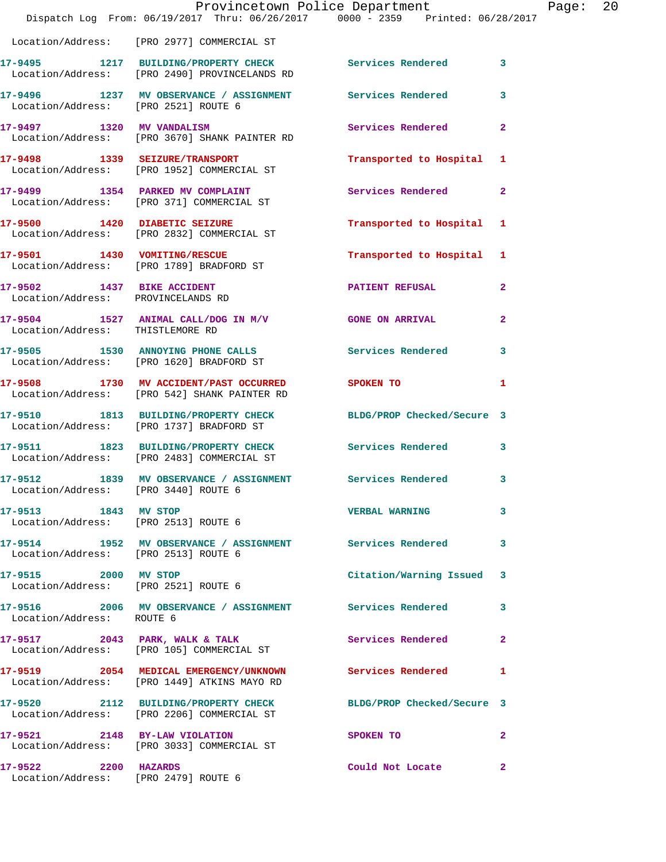|                                                                  | Provincetown Police Department<br>Dispatch Log From: 06/19/2017 Thru: 06/26/2017 0000 - 2359 Printed: 06/28/2017 |                            |                |
|------------------------------------------------------------------|------------------------------------------------------------------------------------------------------------------|----------------------------|----------------|
|                                                                  | Location/Address: [PRO 2977] COMMERCIAL ST                                                                       |                            |                |
|                                                                  | 17-9495 1217 BUILDING/PROPERTY CHECK Services Rendered<br>Location/Address: [PRO 2490] PROVINCELANDS RD          |                            | 3              |
| Location/Address: [PRO 2521] ROUTE 6                             | 17-9496 1237 MV OBSERVANCE / ASSIGNMENT Services Rendered                                                        |                            | 3              |
| 17-9497 1320 MV VANDALISM                                        | Location/Address: [PRO 3670] SHANK PAINTER RD                                                                    | Services Rendered          | $\overline{2}$ |
|                                                                  | 17-9498 1339 SEIZURE/TRANSPORT<br>Location/Address: [PRO 1952] COMMERCIAL ST                                     | Transported to Hospital    | 1              |
|                                                                  | 17-9499 1354 PARKED MV COMPLAINT<br>Location/Address: [PRO 371] COMMERCIAL ST                                    | Services Rendered          | $\mathbf{2}$   |
|                                                                  | 17-9500 1420 DIABETIC SEIZURE<br>Location/Address: [PRO 2832] COMMERCIAL ST                                      | Transported to Hospital    | 1              |
|                                                                  | 17-9501 1430 VOMITING/RESCUE<br>Location/Address: [PRO 1789] BRADFORD ST                                         | Transported to Hospital    | 1              |
| 17-9502 1437 BIKE ACCIDENT<br>Location/Address: PROVINCELANDS RD |                                                                                                                  | <b>PATIENT REFUSAL</b>     | $\mathbf{2}$   |
| Location/Address: THISTLEMORE RD                                 | 17-9504 1527 ANIMAL CALL/DOG IN M/V GONE ON ARRIVAL                                                              |                            | $\overline{a}$ |
|                                                                  | 17-9505 1530 ANNOYING PHONE CALLS<br>Location/Address: [PRO 1620] BRADFORD ST                                    | <b>Services Rendered</b>   | 3              |
|                                                                  | 17-9508 1730 MV ACCIDENT/PAST OCCURRED<br>Location/Address: [PRO 542] SHANK PAINTER RD                           | SPOKEN TO                  | 1              |
|                                                                  | 17-9510 1813 BUILDING/PROPERTY CHECK<br>Location/Address: [PRO 1737] BRADFORD ST                                 | BLDG/PROP Checked/Secure 3 |                |
|                                                                  | 17-9511 1823 BUILDING/PROPERTY CHECK<br>Location/Address: [PRO 2483] COMMERCIAL ST                               | <b>Services Rendered</b>   | 3              |
| Location/Address: [PRO 3440] ROUTE 6                             | 17-9512 1839 MV OBSERVANCE / ASSIGNMENT Services Rendered                                                        |                            | 3              |
| 17-9513 1843 MV STOP<br>Location/Address: [PRO 2513] ROUTE 6     |                                                                                                                  | <b>VERBAL WARNING</b>      | 3              |
| Location/Address: [PRO 2513] ROUTE 6                             | 17-9514 1952 MV OBSERVANCE / ASSIGNMENT Services Rendered                                                        |                            | 3              |
| 17-9515 2000 MV STOP                                             | Location/Address: [PRO 2521] ROUTE 6                                                                             | Citation/Warning Issued    | 3              |
| Location/Address: ROUTE 6                                        | 17-9516 2006 MV OBSERVANCE / ASSIGNMENT Services Rendered                                                        |                            | 3              |
|                                                                  | 17-9517 2043 PARK, WALK & TALK<br>Location/Address: [PRO 105] COMMERCIAL ST                                      | Services Rendered          | $\mathbf{2}$   |
|                                                                  | 17-9519 2054 MEDICAL EMERGENCY/UNKNOWN<br>Location/Address: [PRO 1449] ATKINS MAYO RD                            | Services Rendered          | 1              |
|                                                                  | 17-9520 2112 BUILDING/PROPERTY CHECK<br>Location/Address: [PRO 2206] COMMERCIAL ST                               | BLDG/PROP Checked/Secure 3 |                |
|                                                                  | 17-9521 2148 BY-LAW VIOLATION<br>Location/Address: [PRO 3033] COMMERCIAL ST                                      | SPOKEN TO                  | 2              |
| 17-9522 2200 HAZARDS<br>Location/Address: [PRO 2479] ROUTE 6     |                                                                                                                  | Could Not Locate           | 2              |